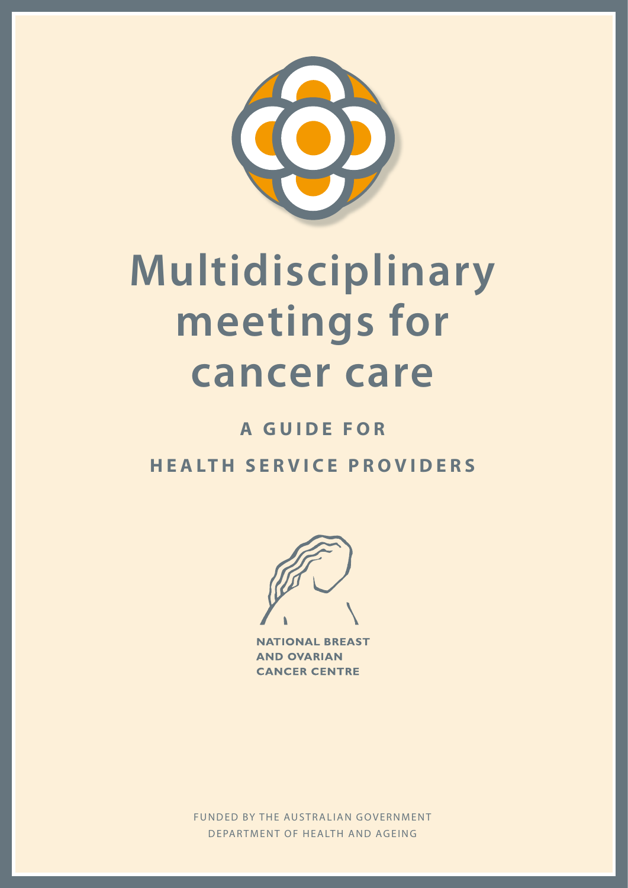

# **Multidisciplinary meetings for cancer care**

## **A GUIDE FOR h e a lt h s e r v i c e p r o v i d e r s**



**NATIONAL BREAST AND OVARIAN CANCER CENTRE** 

M u lt i de i s car a r y de forme de for hea le ca n cer ca re: a gu i der ser v i der ser v i der ser v i de FUNDED BY THE AUSTRALIAN GOVERNMENT DEPARTMENT OF HEALTH AND AGEING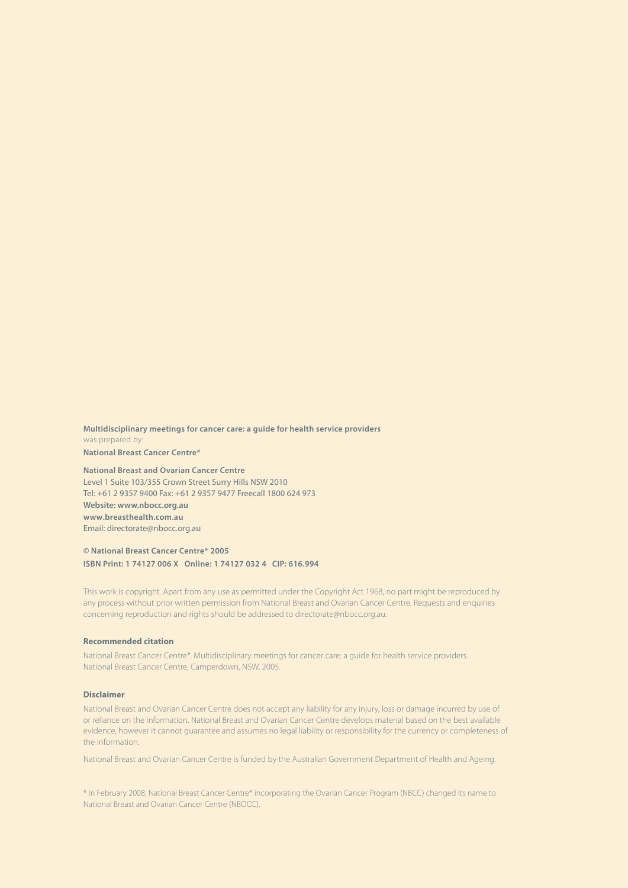**Multidisciplinary meetings for cancer care: a guide for health service providers** was prepared by: **National Breast Cancer Centre\***

**National Breast and Ovarian Cancer Centre** Level 1 Suite 103/355 Crown Street Surry Hills NSW 2010 Tel: +61 2 9357 9400 Fax: +61 2 9357 9477 Freecall 1800 624 973 **Website: www.nbocc.org.au www.breasthealth.com.au** Email: directorate@nbocc.org.au

#### **© National Breast Cancer Centre\* 2005 ISBN Print: 1 74127 006 X Online: 1 74127 032 4 CIP: 616.994**

This work is copyright. Apart from any use as permitted under the Copyright Act 1968, no part might be reproduced by any process without prior written permission from National Breast and Ovarian Cancer Centre. Requests and enquiries concerning reproduction and rights should be addressed to directorate@nbocc.org.au.

#### **Recommended citation**

National Breast Cancer Centre\*. Multidisciplinary meetings for cancer care: a guide for health service providers. National Breast Cancer Centre, Camperdown, NSW, 2005.

#### **Disclaimer**

National Breast and Ovarian Cancer Centre does not accept any liability for any injury, loss or damage incurred by use of or reliance on the information. National Breast and Ovarian Cancer Centre develops material based on the best available evidence, however it cannot guarantee and assumes no legal liability or responsibility for the currency or completeness of the information.

National Breast and Ovarian Cancer Centre is funded by the Australian Government Department of Health and Ageing.

\* In February 2008, National Breast Cancer Centre\* incorporating the Ovarian Cancer Program (NBCC) changed its name to National Breast and Ovarian Cancer Centre (NBOCC).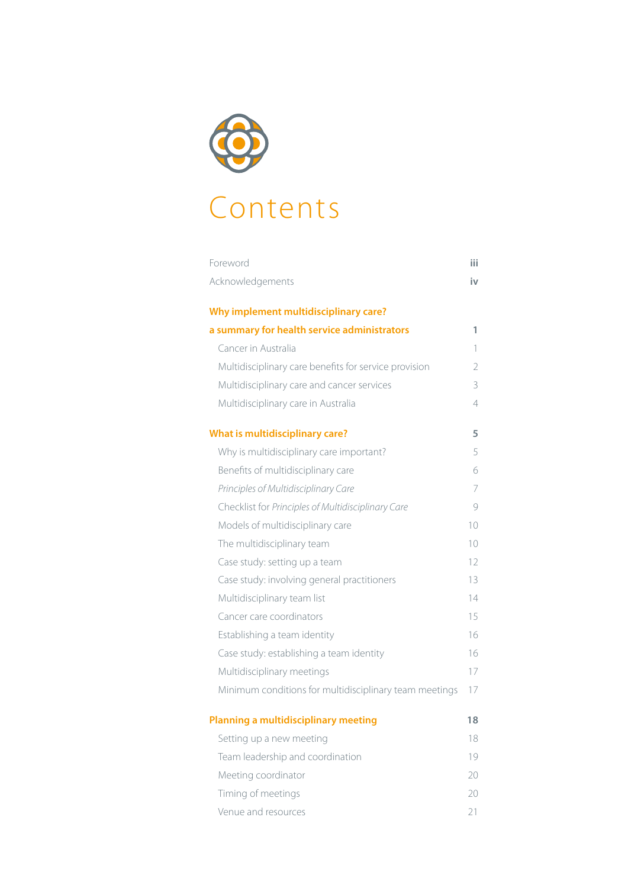

# Contents

| Foreword                                               | iii            |
|--------------------------------------------------------|----------------|
| Acknowledgements                                       | iv             |
| Why implement multidisciplinary care?                  |                |
| a summary for health service administrators            | 1              |
| Cancer in Australia                                    | 1              |
| Multidisciplinary care benefits for service provision  | $\overline{2}$ |
| Multidisciplinary care and cancer services             | 3              |
| Multidisciplinary care in Australia                    | 4              |
| <b>What is multidisciplinary care?</b>                 | 5              |
| Why is multidisciplinary care important?               | 5              |
| Benefits of multidisciplinary care                     | 6              |
| Principles of Multidisciplinary Care                   | 7              |
| Checklist for Principles of Multidisciplinary Care     | 9              |
| Models of multidisciplinary care                       | 10             |
| The multidisciplinary team                             | 10             |
| Case study: setting up a team                          | 12             |
| Case study: involving general practitioners            | 13             |
| Multidisciplinary team list                            | 14             |
| Cancer care coordinators                               | 15             |
| Establishing a team identity                           | 16             |
| Case study: establishing a team identity               | 16             |
| Multidisciplinary meetings                             | 17             |
| Minimum conditions for multidisciplinary team meetings | 17             |
| Planning a multidisciplinary meeting                   | 18             |
| Setting up a new meeting                               | 18             |
| Team leadership and coordination                       | 19             |
| Meeting coordinator                                    | 20             |
| Timing of meetings                                     | 20             |
| Venue and resources                                    | 21             |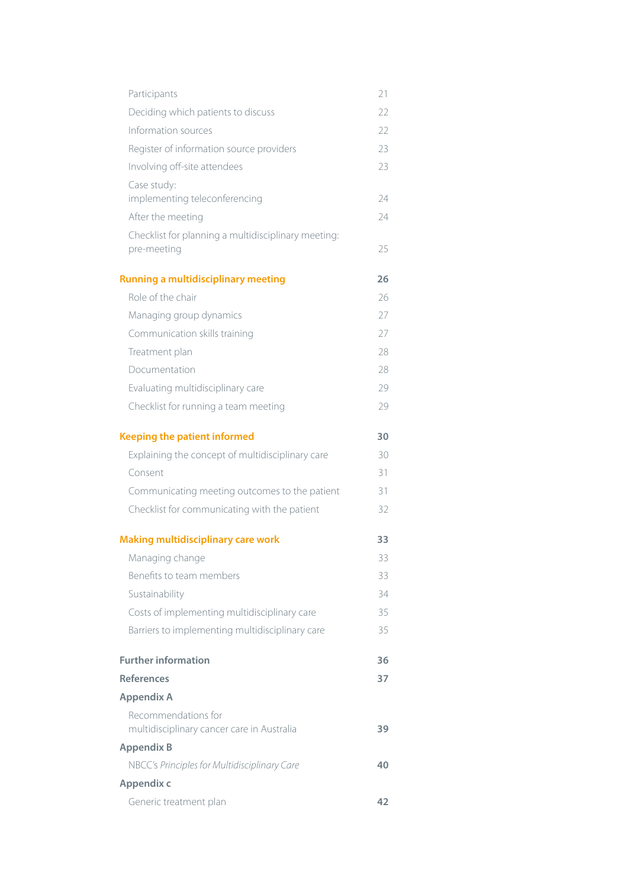| Participants                                                       | 21 |
|--------------------------------------------------------------------|----|
| Deciding which patients to discuss                                 | 22 |
| Information sources                                                | 22 |
| Register of information source providers                           | 23 |
| Involving off-site attendees                                       | 23 |
| Case study:                                                        |    |
| implementing teleconferencing                                      | 24 |
| After the meeting                                                  | 24 |
| Checklist for planning a multidisciplinary meeting:<br>pre-meeting | 25 |
| <b>Running a multidisciplinary meeting</b>                         | 26 |
| Role of the chair                                                  | 26 |
| Managing group dynamics                                            | 27 |
| Communication skills training                                      | 27 |
| Treatment plan                                                     | 28 |
| Documentation                                                      | 28 |
| Evaluating multidisciplinary care                                  | 29 |
| Checklist for running a team meeting                               | 29 |
| <b>Keeping the patient informed</b>                                | 30 |
| Explaining the concept of multidisciplinary care                   | 30 |
| Consent                                                            | 31 |
| Communicating meeting outcomes to the patient                      | 31 |
| Checklist for communicating with the patient                       | 32 |
| <b>Making multidisciplinary care work</b>                          | 33 |
| Managing change                                                    | 33 |
| Benefits to team members                                           | 33 |
| Sustainability                                                     | 34 |
| Costs of implementing multidisciplinary care                       | 35 |
| Barriers to implementing multidisciplinary care                    | 35 |
| <b>Further information</b>                                         | 36 |
| <b>References</b>                                                  | 37 |
| <b>Appendix A</b>                                                  |    |
| Recommendations for<br>multidisciplinary cancer care in Australia  | 39 |
| <b>Appendix B</b>                                                  |    |
| NBCC's Principles for Multidisciplinary Care                       | 40 |
| Appendix c                                                         |    |
| Generic treatment plan                                             | 42 |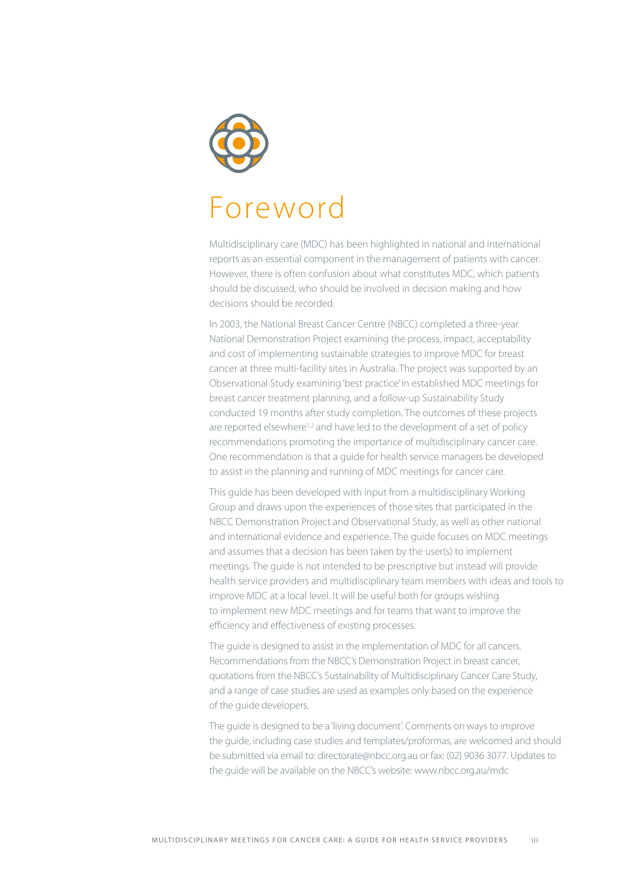

# Foreword

Multidisciplinary care (MDC) has been highlighted in national and international reports as an essential component in the management of patients with cancer. However, there is often confusion about what constitutes MDC, which patients should be discussed, who should be involved in decision making and how decisions should be recorded.

In 2003, the National Breast Cancer Centre (NBCC) completed a three-year National Demonstration Project examining the process, impact, acceptability and cost of implementing sustainable strategies to improve MDC for breast cancer at three multi-facility sites in Australia. The project was supported by an Observational Study examining 'best practice' in established MDC meetings for breast cancer treatment planning, and a follow-up Sustainability Study conducted 19 months after study completion. The outcomes of these projects are reported elsewhere<sup>1,2</sup> and have led to the development of a set of policy recommendations promoting the importance of multidisciplinary cancer care. One recommendation is that a guide for health service managers be developed to assist in the planning and running of MDC meetings for cancer care.

This guide has been developed with input from a multidisciplinary Working Group and draws upon the experiences of those sites that participated in the NBCC Demonstration Project and Observational Study, as well as other national and international evidence and experience. The guide focuses on MDC meetings and assumes that a decision has been taken by the user(s) to implement meetings. The guide is not intended to be prescriptive but instead will provide health service providers and multidisciplinary team members with ideas and tools to improve MDC at a local level. It will be useful both for groups wishing to implement new MDC meetings and for teams that want to improve the efficiency and effectiveness of existing processes.

The guide is designed to assist in the implementation of MDC for all cancers. Recommendations from the NBCC's Demonstration Project in breast cancer, quotations from the NBCC's Sustainability of Multidisciplinary Cancer Care Study, and a range of case studies are used as examples only based on the experience of the guide developers.

The guide is designed to be a 'living document'. Comments on ways to improve the guide, including case studies and templates/proformas, are welcomed and should be submitted via email to: directorate@nbcc.org.au or fax: (02) 9036 3077. Updates to the guide will be available on the NBCC's website: www.nbcc.org.au/mdc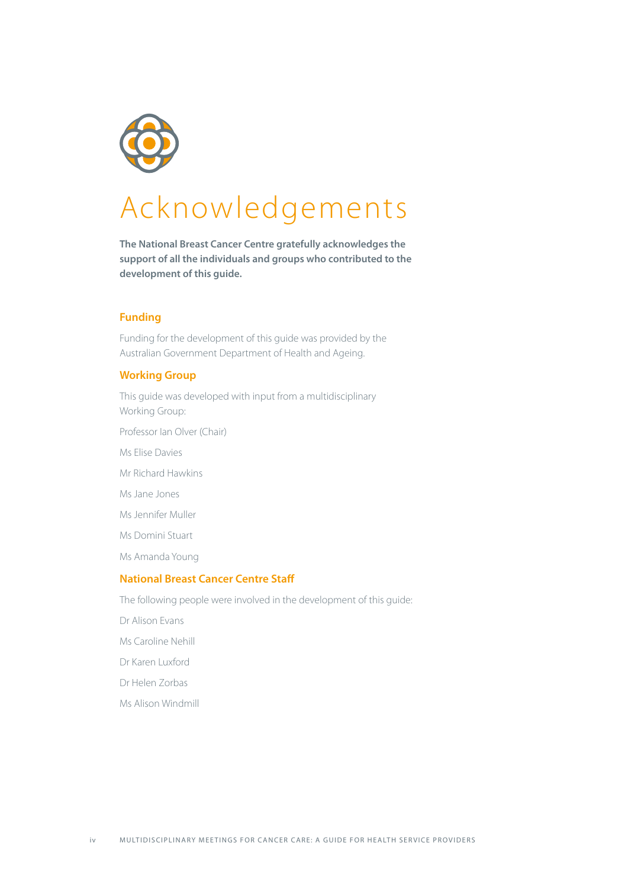

# Acknowledgements

**The National Breast Cancer Centre gratefully acknowledges the support of all the individuals and groups who contributed to the development of this guide.**

#### **Funding**

Funding for the development of this guide was provided by the Australian Government Department of Health and Ageing.

#### **Working Group**

This guide was developed with input from a multidisciplinary Working Group:

- Professor Ian Olver (Chair)
- Ms Elise Davies
- Mr Richard Hawkins
- Ms Jane Jones
- Ms Jennifer Muller
- Ms Domini Stuart
- Ms Amanda Young

#### **National Breast Cancer Centre Staff**

The following people were involved in the development of this guide:

- Dr Alison Evans
- Ms Caroline Nehill
- Dr Karen Luxford
- Dr Helen Zorbas
- Ms Alison Windmill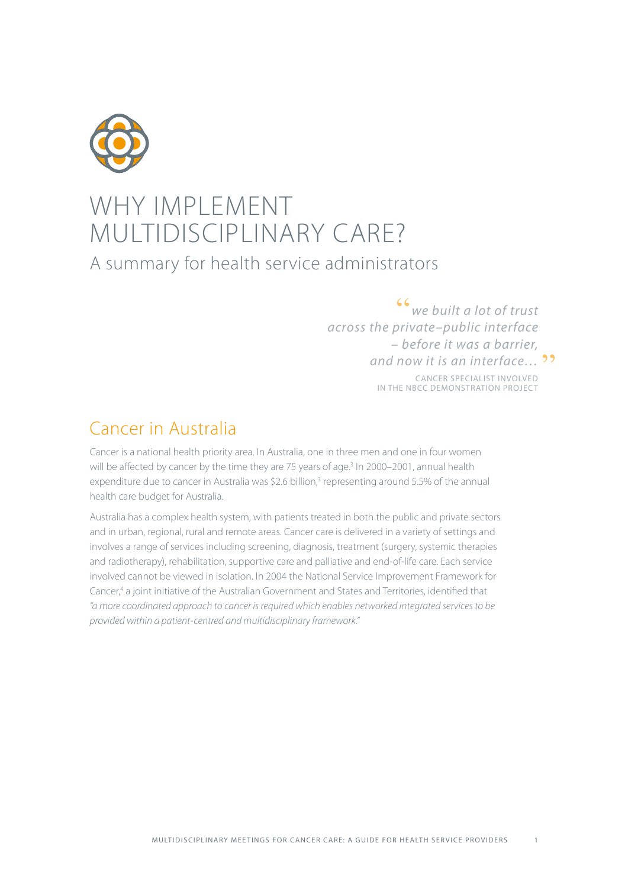

## WHY IMPLEMENT MULTIDISCIPLINARY CARE? A summary for health service administrators

"*we built a lot of trust across the private–public interface – before it was a barrier,*  **and now it is an interface... <sup>99</sup>**<br>CANCER SPECIALIST INVOLVED

Cancer specialist involved in the NBCC Demonstration project

## Cancer in Australia

Cancer is a national health priority area. In Australia, one in three men and one in four women will be affected by cancer by the time they are 75 years of age.<sup>3</sup> In 2000–2001, annual health expenditure due to cancer in Australia was \$2.6 billion,<sup>3</sup> representing around 5.5% of the annual health care budget for Australia.

Australia has a complex health system, with patients treated in both the public and private sectors and in urban, regional, rural and remote areas. Cancer care is delivered in a variety of settings and involves a range of services including screening, diagnosis, treatment (surgery, systemic therapies and radiotherapy), rehabilitation, supportive care and palliative and end-of-life care. Each service involved cannot be viewed in isolation. In 2004 the National Service Improvement Framework for Cancer,<sup>4</sup> a joint initiative of the Australian Government and States and Territories, identified that *"a more coordinated approach to cancer is required which enables networked integrated services to be provided within a patient-centred and multidisciplinary framework."*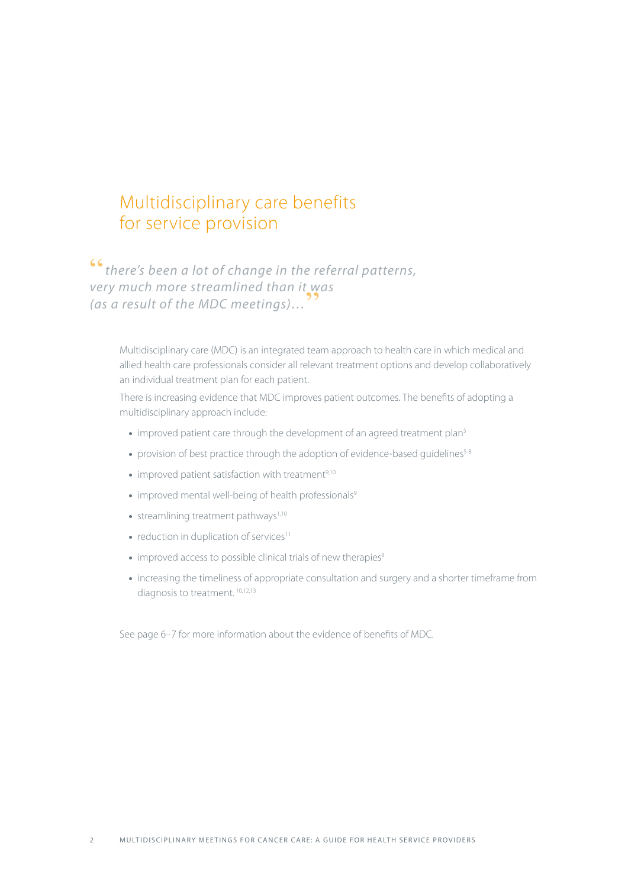### Multidisciplinary care benefits for service provision

"*there's been a lot of change in the referral patterns, very much more streamlined than it was (as a result of the MDC meetings)…*"

Multidisciplinary care (MDC) is an integrated team approach to health care in which medical and allied health care professionals consider all relevant treatment options and develop collaboratively an individual treatment plan for each patient.

There is increasing evidence that MDC improves patient outcomes. The benefits of adopting a multidisciplinary approach include:

- improved patient care through the development of an agreed treatment plan<sup>5</sup>
- provision of best practice through the adoption of evidence-based guidelines<sup>5-8</sup>
- $\bullet$  improved patient satisfaction with treatment<sup>9,10</sup>
- improved mental well-being of health professionals<sup>9</sup>
- $\bullet$  streamlining treatment pathways<sup>1,10</sup>
- $\bullet$  reduction in duplication of services<sup>11</sup>
- improved access to possible clinical trials of new therapies<sup>8</sup>
- increasing the timeliness of appropriate consultation and surgery and a shorter timeframe from diagnosis to treatment.<sup>10,12,13</sup>

See page 6–7 for more information about the evidence of benefits of MDC.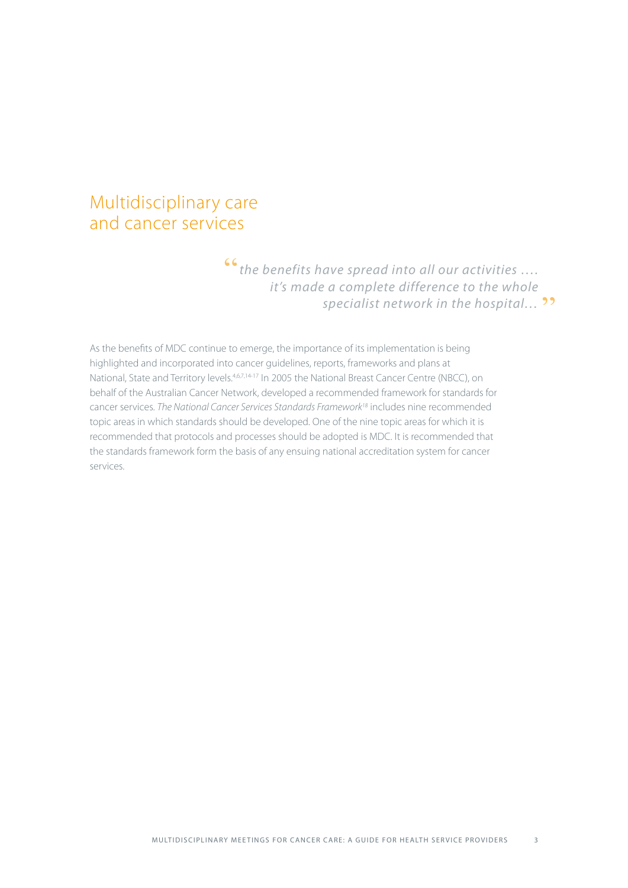### Multidisciplinary care and cancer services

"*the benefits have spread into all our activities …. it's made a complete difference to the whole*  specialist network in the hospital... <sup>99</sup>

As the benefits of MDC continue to emerge, the importance of its implementation is being highlighted and incorporated into cancer guidelines, reports, frameworks and plans at National, State and Territory levels.4,6,7,14-17 In 2005 the National Breast Cancer Centre (NBCC), on behalf of the Australian Cancer Network, developed a recommended framework for standards for cancer services. *The National Cancer Services Standards Framework18* includes nine recommended topic areas in which standards should be developed. One of the nine topic areas for which it is recommended that protocols and processes should be adopted is MDC. It is recommended that the standards framework form the basis of any ensuing national accreditation system for cancer services.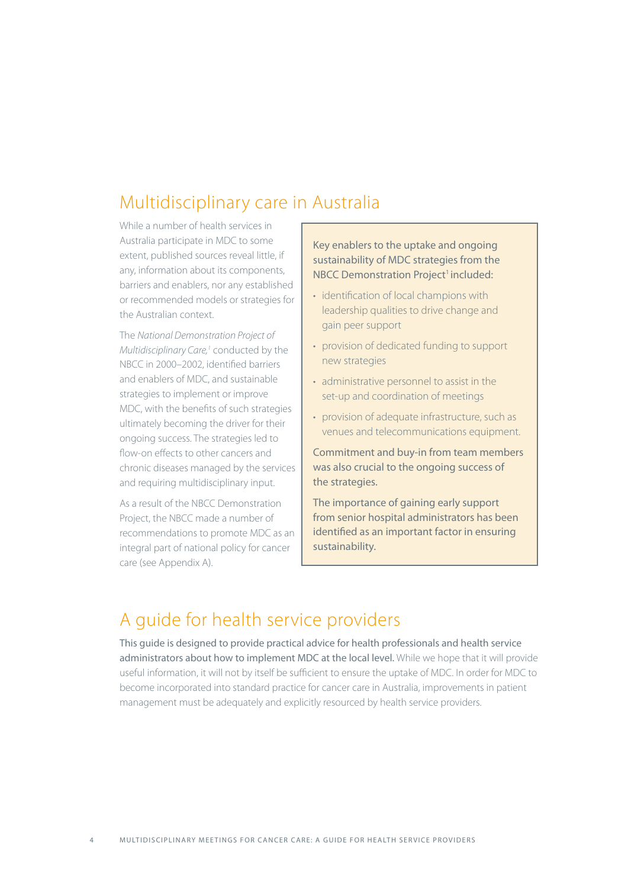## Multidisciplinary care in Australia

While a number of health services in Australia participate in MDC to some extent, published sources reveal little, if any, information about its components, barriers and enablers, nor any established or recommended models or strategies for the Australian context.

The *National Demonstration Project of*  Multidisciplinary Care,<sup>1</sup> conducted by the NBCC in 2000–2002, identified barriers and enablers of MDC, and sustainable strategies to implement or improve MDC, with the benefits of such strategies ultimately becoming the driver for their ongoing success. The strategies led to flow-on effects to other cancers and chronic diseases managed by the services and requiring multidisciplinary input.

As a result of the NBCC Demonstration Project, the NBCC made a number of recommendations to promote MDC as an integral part of national policy for cancer care (see Appendix A).

Key enablers to the uptake and ongoing sustainability of MDC strategies from the NBCC Demonstration Project<sup>1</sup> included:

- identification of local champions with leadership qualities to drive change and gain peer support
- provision of dedicated funding to support new strategies
- administrative personnel to assist in the set-up and coordination of meetings
- provision of adequate infrastructure, such as venues and telecommunications equipment.

Commitment and buy-in from team members was also crucial to the ongoing success of the strategies.

The importance of gaining early support from senior hospital administrators has been identified as an important factor in ensuring sustainability.

## A guide for health service providers

This guide is designed to provide practical advice for health professionals and health service administrators about how to implement MDC at the local level. While we hope that it will provide useful information, it will not by itself be sufficient to ensure the uptake of MDC. In order for MDC to become incorporated into standard practice for cancer care in Australia, improvements in patient management must be adequately and explicitly resourced by health service providers.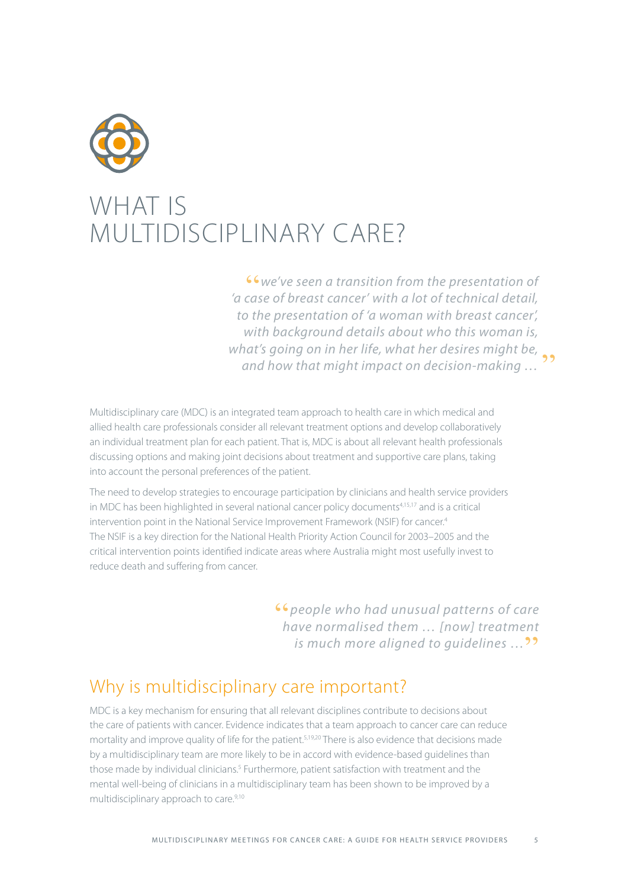

## WHAT IS MULTIDISCIPI INARY CARE?

"*we've seen a transition from the presentation of 'a case of breast cancer' with a lot of technical detail, to the presentation of 'a woman with breast cancer', with background details about who this woman is, what's going on in her life, what her desires might be, and how that might impact on decision-making …* **"** 

Multidisciplinary care (MDC) is an integrated team approach to health care in which medical and allied health care professionals consider all relevant treatment options and develop collaboratively an individual treatment plan for each patient. That is, MDC is about all relevant health professionals discussing options and making joint decisions about treatment and supportive care plans, taking into account the personal preferences of the patient.

The need to develop strategies to encourage participation by clinicians and health service providers in MDC has been highlighted in several national cancer policy documents<sup>4,15,17</sup> and is a critical intervention point in the National Service Improvement Framework (NSIF) for cancer.<sup>4</sup> The NSIF is a key direction for the National Health Priority Action Council for 2003–2005 and the critical intervention points identified indicate areas where Australia might most usefully invest to reduce death and suffering from cancer.

> "*people who had unusual patterns of care have normalised them … [now] treatment is much more aligned to quidelines* ...<sup>99</sup>

## Why is multidisciplinary care important?

MDC is a key mechanism for ensuring that all relevant disciplines contribute to decisions about the care of patients with cancer. Evidence indicates that a team approach to cancer care can reduce mortality and improve quality of life for the patient.<sup>5,19,20</sup> There is also evidence that decisions made by a multidisciplinary team are more likely to be in accord with evidence-based guidelines than those made by individual clinicians.<sup>5</sup> Furthermore, patient satisfaction with treatment and the mental well-being of clinicians in a multidisciplinary team has been shown to be improved by a multidisciplinary approach to care.<sup>9,10</sup>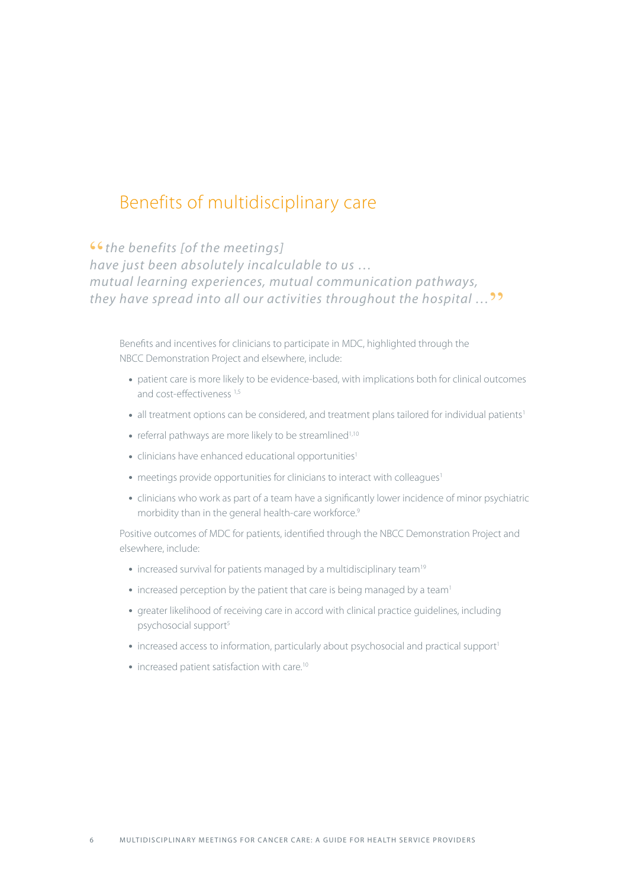## Benefits of multidisciplinary care

**" s** the benefits [of the meetings]<br>have just been absolutely incalculable to us ... *mutual learning experiences, mutual communication pathways, they have spread into all our activities throughout the hospital …*"

Benefits and incentives for clinicians to participate in MDC, highlighted through the NBCC Demonstration Project and elsewhere, include:

- patient care is more likely to be evidence-based, with implications both for clinical outcomes and cost-effectiveness 1,5
- all treatment options can be considered, and treatment plans tailored for individual patients<sup>1</sup>
- referral pathways are more likely to be streamlined<sup>1,10</sup>
- clinicians have enhanced educational opportunities<sup>1</sup>
- meetings provide opportunities for clinicians to interact with colleagues<sup>1</sup>
- clinicians who work as part of a team have a significantly lower incidence of minor psychiatric morbidity than in the general health-care workforce.<sup>9</sup>

Positive outcomes of MDC for patients, identified through the NBCC Demonstration Project and elsewhere, include:

- increased survival for patients managed by a multidisciplinary team<sup>19</sup>
- increased perception by the patient that care is being managed by a team<sup>1</sup>
- greater likelihood of receiving care in accord with clinical practice guidelines, including psychosocial support<sup>5</sup>
- increased access to information, particularly about psychosocial and practical support<sup>1</sup>
- increased patient satisfaction with care.<sup>10</sup>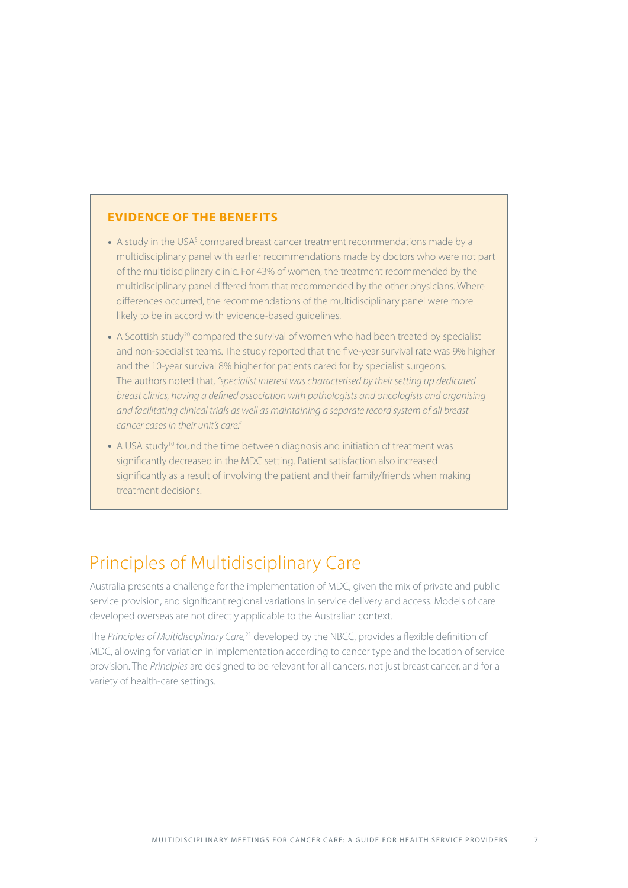#### **Evidence of the benefits**

- $\bullet$  A study in the USA<sup>5</sup> compared breast cancer treatment recommendations made by a multidisciplinary panel with earlier recommendations made by doctors who were not part of the multidisciplinary clinic. For 43% of women, the treatment recommended by the multidisciplinary panel differed from that recommended by the other physicians. Where differences occurred, the recommendations of the multidisciplinary panel were more likely to be in accord with evidence-based guidelines.
- A Scottish study<sup>20</sup> compared the survival of women who had been treated by specialist and non-specialist teams. The study reported that the five-year survival rate was 9% higher and the 10-year survival 8% higher for patients cared for by specialist surgeons. The authors noted that, *"specialist interest was characterised by their setting up dedicated breast clinics, having a defined association with pathologists and oncologists and organising and facilitating clinical trials as well as maintaining a separate record system of all breast cancer cases in their unit's care."*
- A USA study<sup>10</sup> found the time between diagnosis and initiation of treatment was significantly decreased in the MDC setting. Patient satisfaction also increased significantly as a result of involving the patient and their family/friends when making treatment decisions.

## Principles of Multidisciplinary Care

Australia presents a challenge for the implementation of MDC, given the mix of private and public service provision, and significant regional variations in service delivery and access. Models of care developed overseas are not directly applicable to the Australian context.

The *Principles of Multidisciplinary Care,*21 developed by the NBCC, provides a flexible definition of MDC, allowing for variation in implementation according to cancer type and the location of service provision. The *Principles* are designed to be relevant for all cancers, not just breast cancer, and for a variety of health-care settings.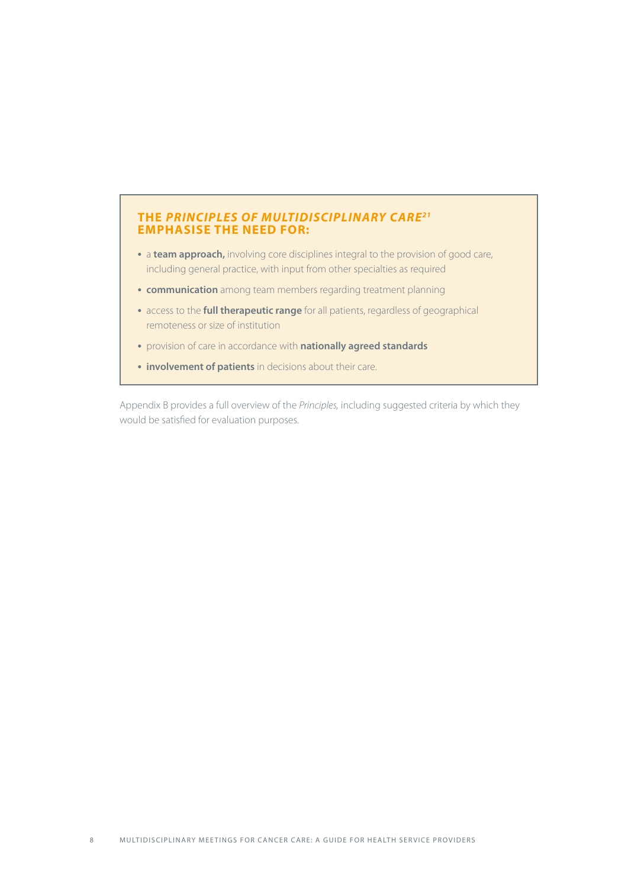#### **The** *Principles of Multidisciplinary Care21* **emphasise the need for:**

- a **team approach**, involving core disciplines integral to the provision of good care, including general practice, with input from other specialties as required
- **communication** among team members regarding treatment planning
- access to the **full therapeutic range** for all patients, regardless of geographical remoteness or size of institution
- provision of care in accordance with **nationally agreed standards**
- **involvement of patients** in decisions about their care.

Appendix B provides a full overview of the *Principles,* including suggested criteria by which they would be satisfied for evaluation purposes.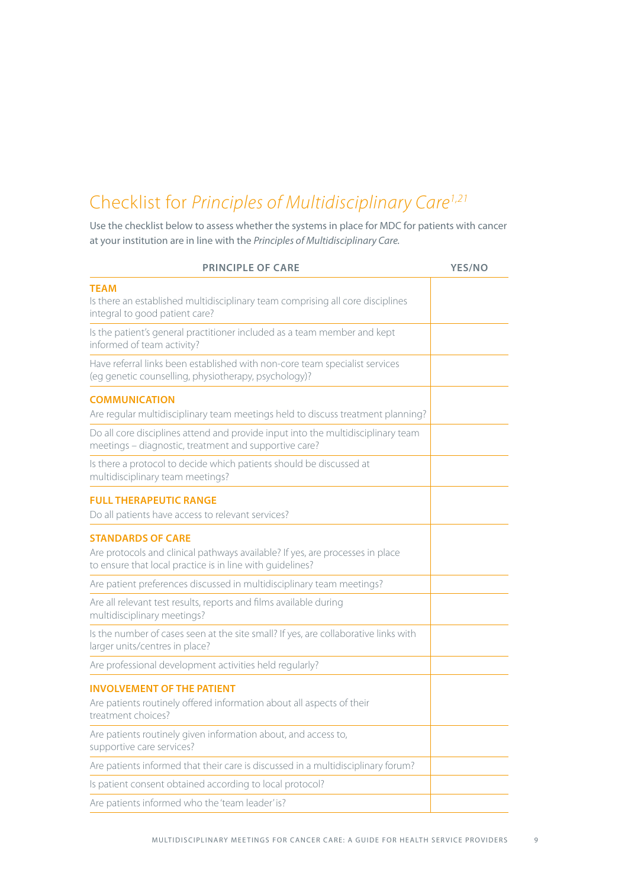## Checklist for *Principles of Multidisciplinary Care1,21*

Use the checklist below to assess whether the systems in place for MDC for patients with cancer at your institution are in line with the *Principles of Multidisciplinary Care.*

| <b>PRINCIPLE OF CARE</b>                                                                                                                                               | <b>YES/NO</b> |
|------------------------------------------------------------------------------------------------------------------------------------------------------------------------|---------------|
| <b>TEAM</b><br>Is there an established multidisciplinary team comprising all core disciplines<br>integral to good patient care?                                        |               |
| Is the patient's general practitioner included as a team member and kept<br>informed of team activity?                                                                 |               |
| Have referral links been established with non-core team specialist services<br>(eg genetic counselling, physiotherapy, psychology)?                                    |               |
| <b>COMMUNICATION</b><br>Are regular multidisciplinary team meetings held to discuss treatment planning?                                                                |               |
| Do all core disciplines attend and provide input into the multidisciplinary team<br>meetings - diagnostic, treatment and supportive care?                              |               |
| Is there a protocol to decide which patients should be discussed at<br>multidisciplinary team meetings?                                                                |               |
| <b>FULL THERAPEUTIC RANGE</b><br>Do all patients have access to relevant services?                                                                                     |               |
| <b>STANDARDS OF CARE</b><br>Are protocols and clinical pathways available? If yes, are processes in place<br>to ensure that local practice is in line with guidelines? |               |
| Are patient preferences discussed in multidisciplinary team meetings?                                                                                                  |               |
| Are all relevant test results, reports and films available during<br>multidisciplinary meetings?                                                                       |               |
| Is the number of cases seen at the site small? If yes, are collaborative links with<br>larger units/centres in place?                                                  |               |
| Are professional development activities held regularly?                                                                                                                |               |
| <b>INVOLVEMENT OF THE PATIENT</b><br>Are patients routinely offered information about all aspects of their<br>treatment choices?                                       |               |
| Are patients routinely given information about, and access to,<br>supportive care services?                                                                            |               |
| Are patients informed that their care is discussed in a multidisciplinary forum?                                                                                       |               |
| Is patient consent obtained according to local protocol?                                                                                                               |               |
| Are patients informed who the 'team leader' is?                                                                                                                        |               |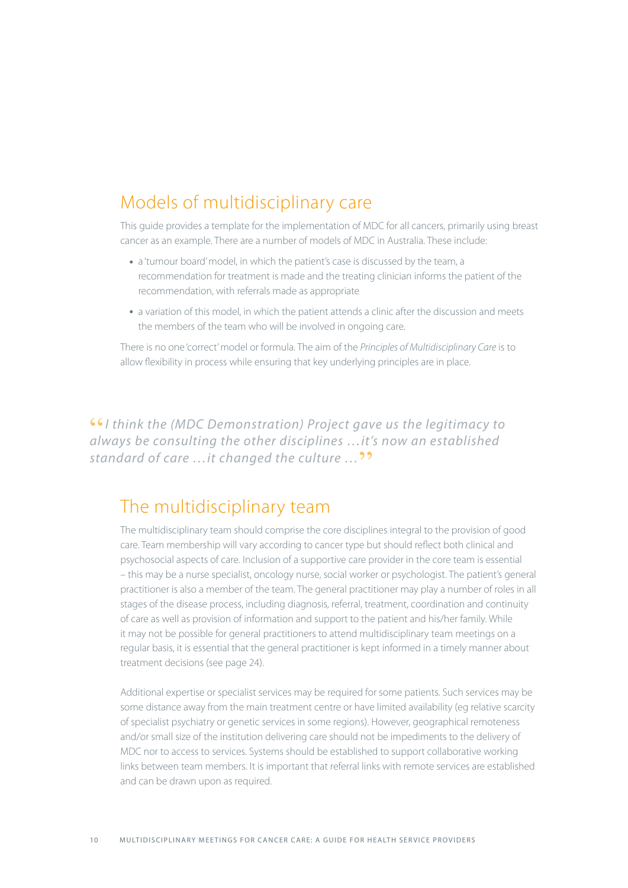## Models of multidisciplinary care

This guide provides a template for the implementation of MDC for all cancers, primarily using breast cancer as an example. There are a number of models of MDC in Australia. These include:

- a 'tumour board' model, in which the patient's case is discussed by the team, a recommendation for treatment is made and the treating clinician informs the patient of the recommendation, with referrals made as appropriate
- a variation of this model, in which the patient attends a clinic after the discussion and meets the members of the team who will be involved in ongoing care.

There is no one 'correct' model or formula. The aim of the *Principles of Multidisciplinary Care* is to allow flexibility in process while ensuring that key underlying principles are in place.

"*I think the (MDC Demonstration) Project gave us the legitimacy to always be consulting the other disciplines …it's now an established standard of care …it changed the culture …*"

### The multidisciplinary team

The multidisciplinary team should comprise the core disciplines integral to the provision of good care. Team membership will vary according to cancer type but should reflect both clinical and psychosocial aspects of care. Inclusion of a supportive care provider in the core team is essential – this may be a nurse specialist, oncology nurse, social worker or psychologist. The patient's general practitioner is also a member of the team. The general practitioner may play a number of roles in all stages of the disease process, including diagnosis, referral, treatment, coordination and continuity of care as well as provision of information and support to the patient and his/her family. While it may not be possible for general practitioners to attend multidisciplinary team meetings on a regular basis, it is essential that the general practitioner is kept informed in a timely manner about treatment decisions (see page 24).

Additional expertise or specialist services may be required for some patients. Such services may be some distance away from the main treatment centre or have limited availability (eg relative scarcity of specialist psychiatry or genetic services in some regions). However, geographical remoteness and/or small size of the institution delivering care should not be impediments to the delivery of MDC nor to access to services. Systems should be established to support collaborative working links between team members. It is important that referral links with remote services are established and can be drawn upon as required.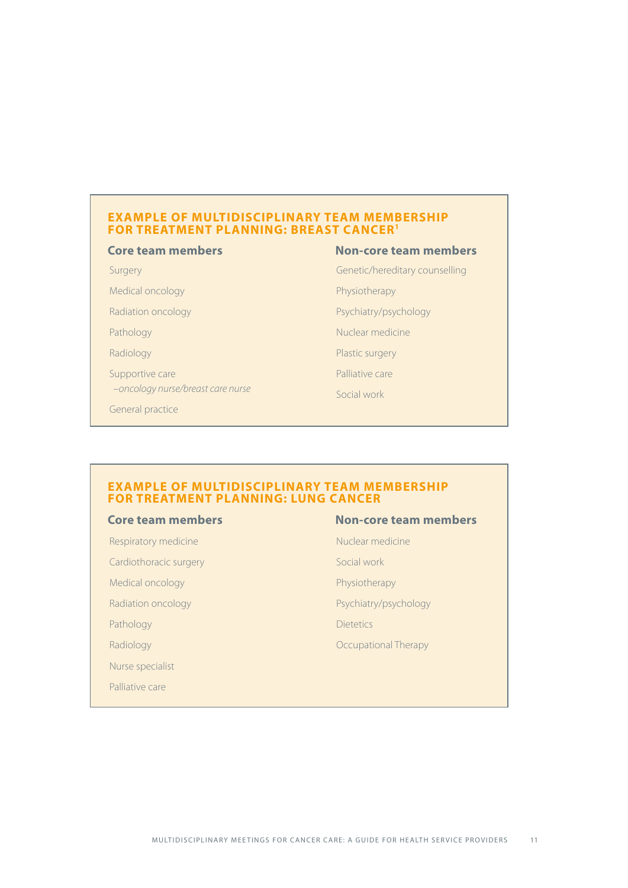#### **Example of multidisciplinary team membership for treatment planning: BREAST cancer1**

#### **Core team members Non-core team members**

Surgery

Medical oncology

Radiation oncology

Pathology

Radiology

Supportive care  *–oncology nurse/breast care nurse*

General practice

Genetic/hereditary counselling

Physiotherapy

Psychiatry/psychology

Nuclear medicine

Plastic surgery

Palliative care

Social work

#### **Example of multidisciplinary team membership for treatment planning: LUNG cancer**

Respiratory medicine Cardiothoracic surgery Medical oncology Radiation oncology Pathology Radiology Nurse specialist

Palliative care

#### **Core team members Non-core team members**

Nuclear medicine

Social work

Physiotherapy

Psychiatry/psychology

Dietetics

Occupational Therapy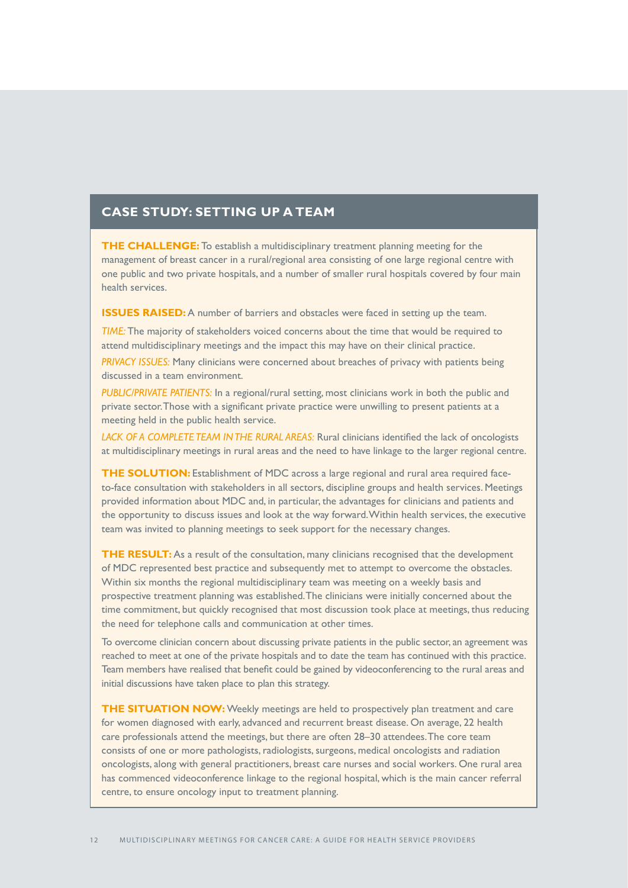#### **Case study: setting up a team**

**THE CHALLENGE:** To establish a multidisciplinary treatment planning meeting for the management of breast cancer in a rural/regional area consisting of one large regional centre with one public and two private hospitals, and a number of smaller rural hospitals covered by four main health services.

**ISSUES RAISED:** A number of barriers and obstacles were faced in setting up the team.

*TIME:* The majority of stakeholders voiced concerns about the time that would be required to attend multidisciplinary meetings and the impact this may have on their clinical practice.

*Privacy issues:* Many clinicians were concerned about breaches of privacy with patients being discussed in a team environment.

*Public/private patients:* In a regional/rural setting, most clinicians work in both the public and private sector. Those with a significant private practice were unwilling to present patients at a meeting held in the public health service.

*Lack of a complete team in the rural areas:* Rural clinicians identified the lack of oncologists at multidisciplinary meetings in rural areas and the need to have linkage to the larger regional centre.

**THE SOLUTION:** Establishment of MDC across a large regional and rural area required faceto-face consultation with stakeholders in all sectors, discipline groups and health services. Meetings provided information about MDC and, in particular, the advantages for clinicians and patients and the opportunity to discuss issues and look at the way forward. Within health services, the executive team was invited to planning meetings to seek support for the necessary changes.

**THE RESULT:** As a result of the consultation, many clinicians recognised that the development of MDC represented best practice and subsequently met to attempt to overcome the obstacles. Within six months the regional multidisciplinary team was meeting on a weekly basis and prospective treatment planning was established. The clinicians were initially concerned about the time commitment, but quickly recognised that most discussion took place at meetings, thus reducing the need for telephone calls and communication at other times.

To overcome clinician concern about discussing private patients in the public sector, an agreement was reached to meet at one of the private hospitals and to date the team has continued with this practice. Team members have realised that benefit could be gained by videoconferencing to the rural areas and initial discussions have taken place to plan this strategy.

**THE SITUATION NOW:** Weekly meetings are held to prospectively plan treatment and care for women diagnosed with early, advanced and recurrent breast disease. On average, 22 health care professionals attend the meetings, but there are often 28–30 attendees. The core team consists of one or more pathologists, radiologists, surgeons, medical oncologists and radiation oncologists, along with general practitioners, breast care nurses and social workers. One rural area has commenced videoconference linkage to the regional hospital, which is the main cancer referral centre, to ensure oncology input to treatment planning.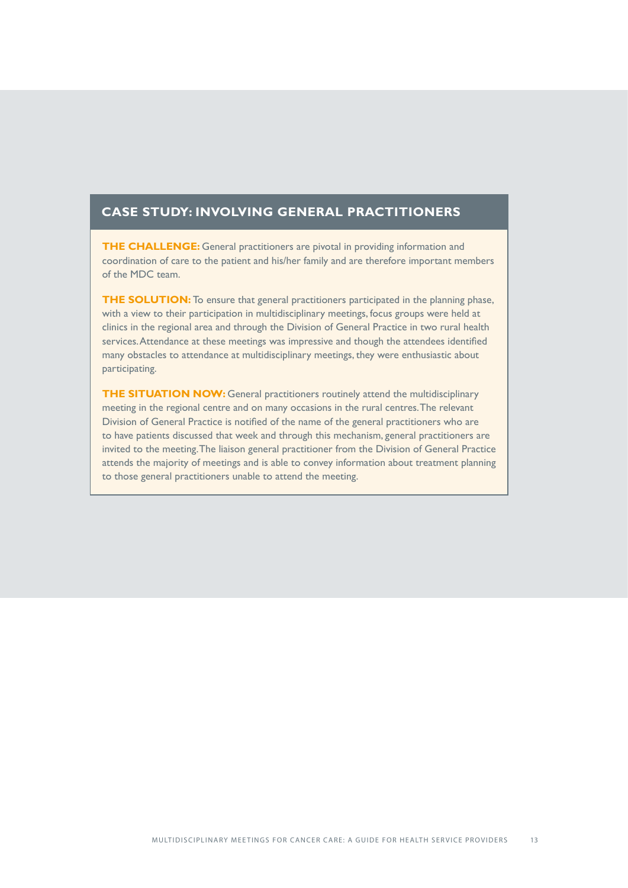#### **Case study: involving general practitioners**

**THE CHALLENGE:** General practitioners are pivotal in providing information and coordination of care to the patient and his/her family and are therefore important members of the MDC team.

**THE SOLUTION:** To ensure that general practitioners participated in the planning phase, with a view to their participation in multidisciplinary meetings, focus groups were held at clinics in the regional area and through the Division of General Practice in two rural health services. Attendance at these meetings was impressive and though the attendees identified many obstacles to attendance at multidisciplinary meetings, they were enthusiastic about participating.

**THE SITUATION NOW:** General practitioners routinely attend the multidisciplinary meeting in the regional centre and on many occasions in the rural centres. The relevant Division of General Practice is notified of the name of the general practitioners who are to have patients discussed that week and through this mechanism, general practitioners are invited to the meeting. The liaison general practitioner from the Division of General Practice attends the majority of meetings and is able to convey information about treatment planning to those general practitioners unable to attend the meeting.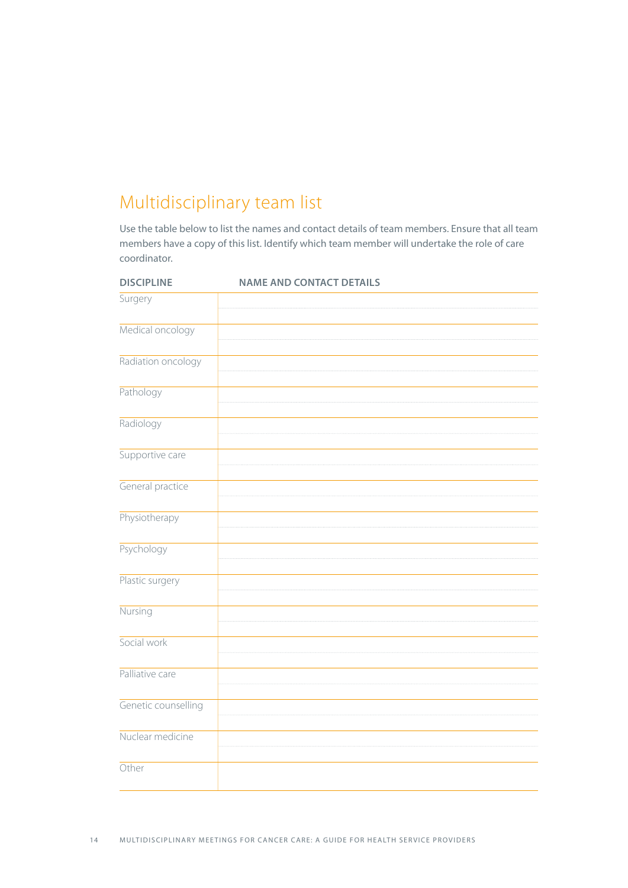## Multidisciplinary team list

Use the table below to list the names and contact details of team members. Ensure that all team members have a copy of this list. Identify which team member will undertake the role of care coordinator.

| <b>DISCIPLINE</b>   | <b>NAME AND CONTACT DETAILS</b> |
|---------------------|---------------------------------|
| Surgery             |                                 |
| Medical oncology    |                                 |
| Radiation oncology  |                                 |
| Pathology           |                                 |
| Radiology           |                                 |
| Supportive care     |                                 |
| General practice    |                                 |
| Physiotherapy       |                                 |
| Psychology          |                                 |
| Plastic surgery     |                                 |
| Nursing             |                                 |
| Social work         |                                 |
| Palliative care     |                                 |
| Genetic counselling |                                 |
| Nuclear medicine    |                                 |
| Other               |                                 |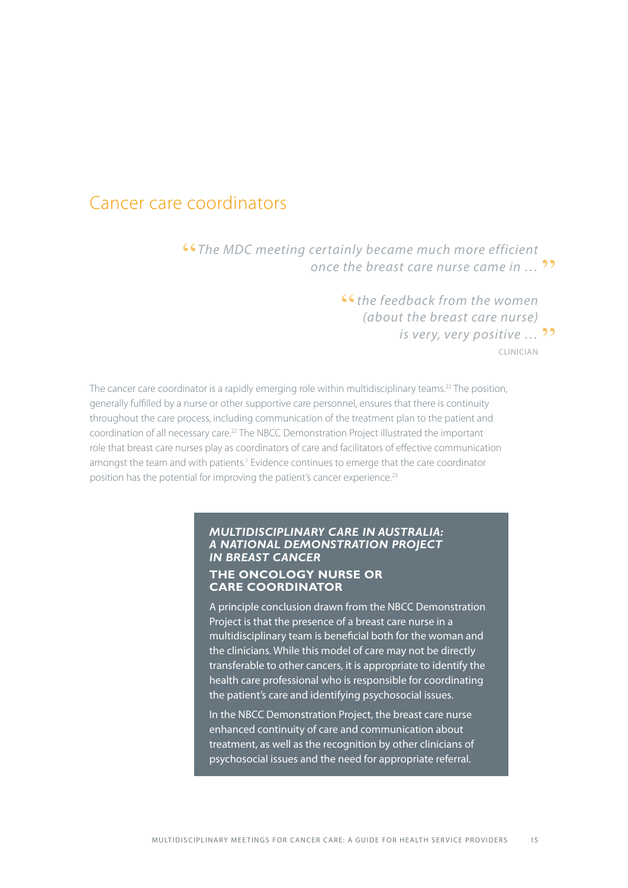### Cancer care coordinators

"*The MDC meeting certainly became much more efficient*  once the breast care nurse came in ... <sup>99</sup>

> "*the feedback from the women (about the breast care nurse) is very, very positive …* "clinician

The cancer care coordinator is a rapidly emerging role within multidisciplinary teams.<sup>22</sup> The position, generally fulfilled by a nurse or other supportive care personnel, ensures that there is continuity throughout the care process, including communication of the treatment plan to the patient and coordination of all necessary care.22 The NBCC Demonstration Project illustrated the important role that breast care nurses play as coordinators of care and facilitators of effective communication amongst the team and with patients.<sup>1</sup> Evidence continues to emerge that the care coordinator position has the potential for improving the patient's cancer experience.<sup>23</sup>

#### *Multidisciplinary Care in Australia: a National Demonstration Project in Breast Cancer*

#### **The oncology nurse or care coordinator**

A principle conclusion drawn from the NBCC Demonstration Project is that the presence of a breast care nurse in a multidisciplinary team is beneficial both for the woman and the clinicians. While this model of care may not be directly transferable to other cancers, it is appropriate to identify the health care professional who is responsible for coordinating the patient's care and identifying psychosocial issues.

In the NBCC Demonstration Project, the breast care nurse enhanced continuity of care and communication about treatment, as well as the recognition by other clinicians of psychosocial issues and the need for appropriate referral.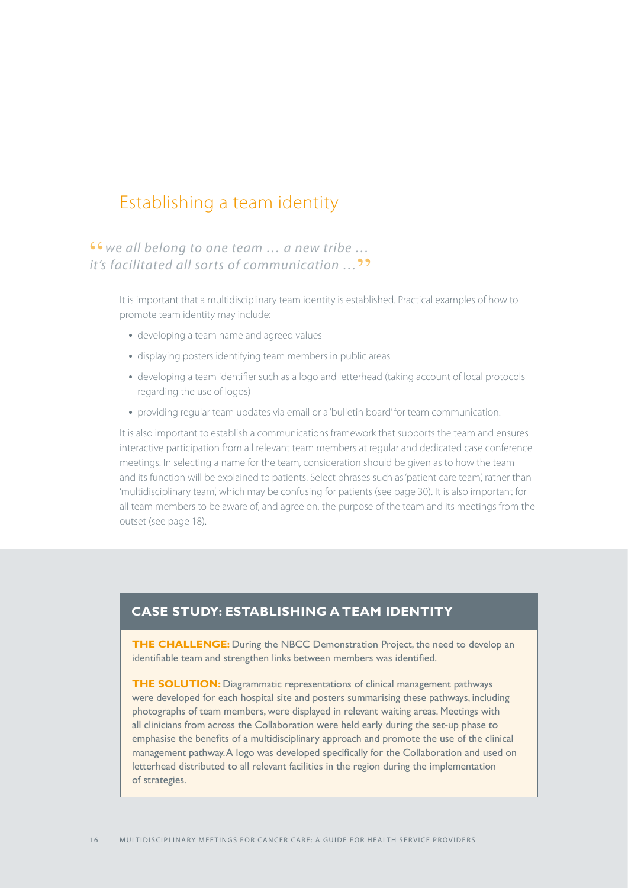## Establishing a team identity

"*we all belong to one team … a new tribe … it's facilitated all sorts of communication …*"

> It is important that a multidisciplinary team identity is established. Practical examples of how to promote team identity may include:

- developing a team name and agreed values
- displaying posters identifying team members in public areas
- developing a team identifier such as a logo and letterhead (taking account of local protocols regarding the use of logos)
- providing regular team updates via email or a 'bulletin board' for team communication.

It is also important to establish a communications framework that supports the team and ensures interactive participation from all relevant team members at regular and dedicated case conference meetings. In selecting a name for the team, consideration should be given as to how the team and its function will be explained to patients. Select phrases such as 'patient care team', rather than 'multidisciplinary team', which may be confusing for patients (see page 30). It is also important for all team members to be aware of, and agree on, the purpose of the team and its meetings from the outset (see page 18).

#### **Case study: establishing a team identity**

**THE CHALLENGE:** During the NBCC Demonstration Project, the need to develop an identifiable team and strengthen links between members was identified.

**THE SOLUTION:** Diagrammatic representations of clinical management pathways were developed for each hospital site and posters summarising these pathways, including photographs of team members, were displayed in relevant waiting areas. Meetings with all clinicians from across the Collaboration were held early during the set-up phase to emphasise the benefits of a multidisciplinary approach and promote the use of the clinical management pathway. A logo was developed specifically for the Collaboration and used on letterhead distributed to all relevant facilities in the region during the implementation of strategies.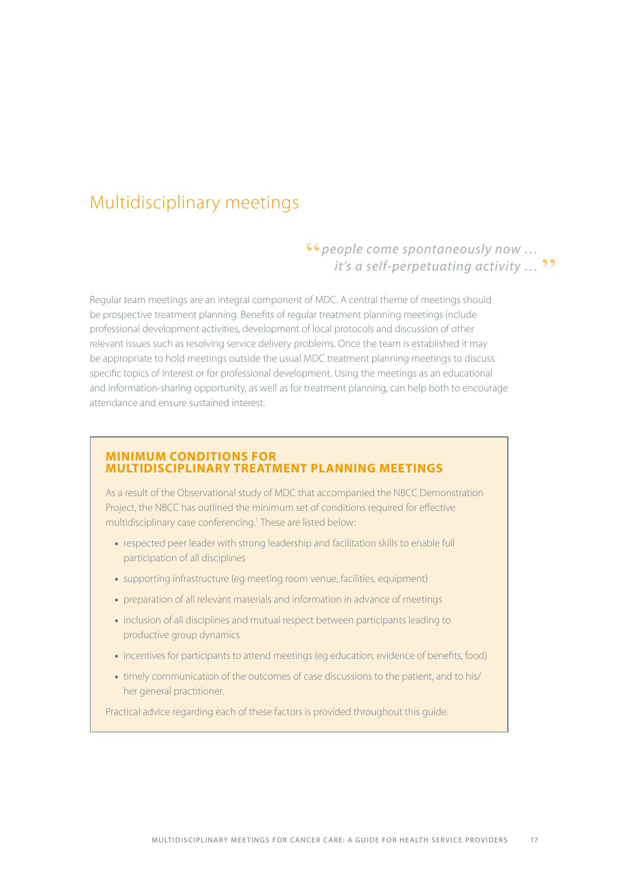## Multidisciplinary meetings

## **"***S* (*people come spontaneously now ...*<br>... it's a self-perpetuating activity ... *it's a self-perpetuating activity* ... <sup>99</sup>

Regular team meetings are an integral component of MDC. A central theme of meetings should be prospective treatment planning. Benefits of regular treatment planning meetings include professional development activities, development of local protocols and discussion of other relevant issues such as resolving service delivery problems. Once the team is established it may be appropriate to hold meetings outside the usual MDC treatment planning meetings to discuss specific topics of interest or for professional development. Using the meetings as an educational and information-sharing opportunity, as well as for treatment planning, can help both to encourage attendance and ensure sustained interest.

#### **Minimum conditions for multidisciplinary treatment planning meetings**

As a result of the Observational study of MDC that accompanied the NBCC Demonstration Project, the NBCC has outlined the minimum set of conditions required for effective multidisciplinary case conferencing.<sup>1</sup> These are listed below:

- respected peer leader with strong leadership and facilitation skills to enable full participation of all disciplines
- supporting infrastructure (eg meeting room venue, facilities, equipment)
- preparation of all relevant materials and information in advance of meetings
- inclusion of all disciplines and mutual respect between participants leading to productive group dynamics
- incentives for participants to attend meetings (eg education, evidence of benefits, food)
- timely communication of the outcomes of case discussions to the patient, and to his/ her general practitioner.

Practical advice regarding each of these factors is provided throughout this guide.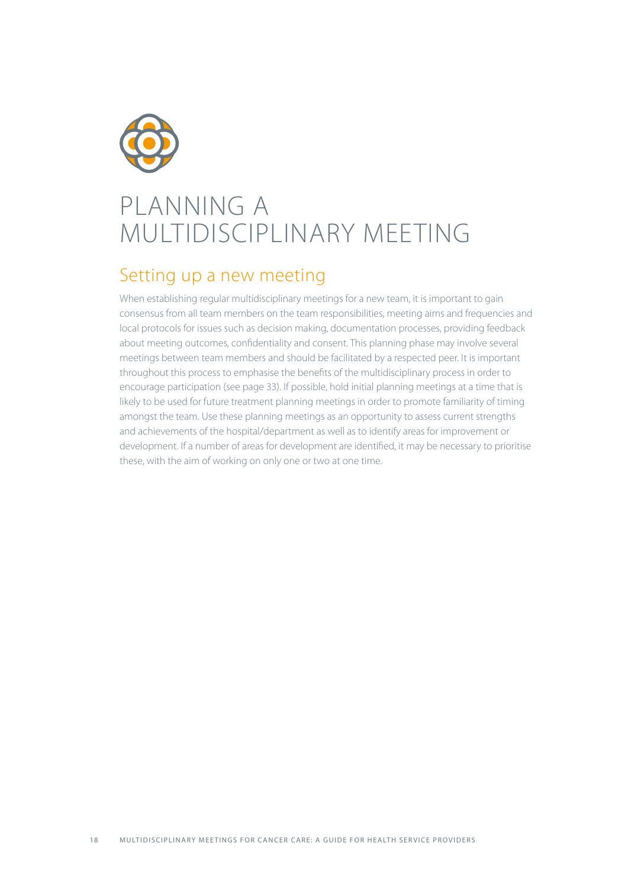

## PLANNING A MULTIDISCIPLINARY MEETING

### Setting up a new meeting

When establishing regular multidisciplinary meetings for a new team, it is important to gain consensus from all team members on the team responsibilities, meeting aims and frequencies and local protocols for issues such as decision making, documentation processes, providing feedback about meeting outcomes, confidentiality and consent. This planning phase may involve several meetings between team members and should be facilitated by a respected peer. It is important throughout this process to emphasise the benefits of the multidisciplinary process in order to encourage participation (see page 33). If possible, hold initial planning meetings at a time that is likely to be used for future treatment planning meetings in order to promote familiarity of timing amongst the team. Use these planning meetings as an opportunity to assess current strengths and achievements of the hospital/department as well as to identify areas for improvement or development. If a number of areas for development are identified, it may be necessary to prioritise these, with the aim of working on only one or two at one time.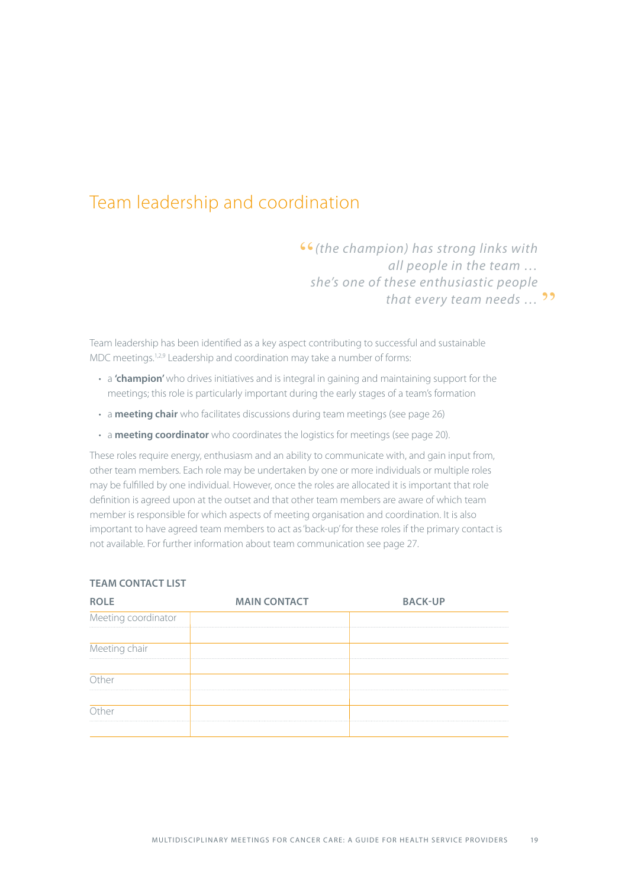## Team leadership and coordination

"*(the champion) has strong links with all people in the team … she's one of these enthusiastic people that every team needs ...* ??

Team leadership has been identified as a key aspect contributing to successful and sustainable MDC meetings.<sup>1,2,9</sup> Leadership and coordination may take a number of forms:

- a **'champion'** who drives initiatives and is integral in gaining and maintaining support for the meetings; this role is particularly important during the early stages of a team's formation
- a **meeting chair** who facilitates discussions during team meetings (see page 26)
- a **meeting coordinator** who coordinates the logistics for meetings (see page 20).

These roles require energy, enthusiasm and an ability to communicate with, and gain input from, other team members. Each role may be undertaken by one or more individuals or multiple roles may be fulfilled by one individual. However, once the roles are allocated it is important that role definition is agreed upon at the outset and that other team members are aware of which team member is responsible for which aspects of meeting organisation and coordination. It is also important to have agreed team members to act as 'back-up' for these roles if the primary contact is not available. For further information about team communication see page 27.

| <b>ROLE</b>         | <b>MAIN CONTACT</b> | <b>BACK-UP</b> |
|---------------------|---------------------|----------------|
| Meeting coordinator |                     |                |
|                     |                     |                |
| Meeting chair       |                     |                |
| <b>Ither</b>        |                     |                |
|                     |                     |                |
|                     |                     |                |
|                     |                     |                |

#### **TEAM CONTACT LIST**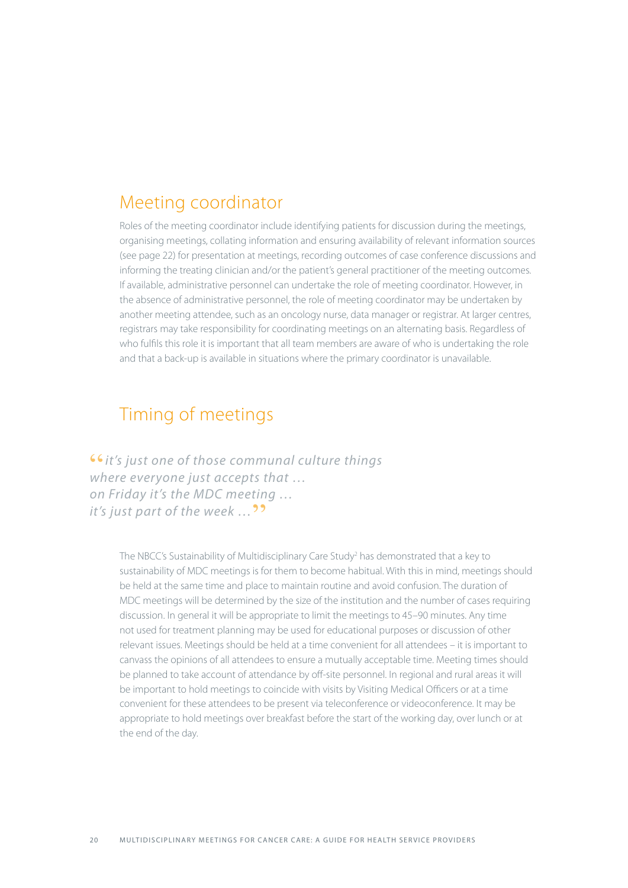### Meeting coordinator

Roles of the meeting coordinator include identifying patients for discussion during the meetings, organising meetings, collating information and ensuring availability of relevant information sources (see page 22) for presentation at meetings, recording outcomes of case conference discussions and informing the treating clinician and/or the patient's general practitioner of the meeting outcomes. If available, administrative personnel can undertake the role of meeting coordinator. However, in the absence of administrative personnel, the role of meeting coordinator may be undertaken by another meeting attendee, such as an oncology nurse, data manager or registrar. At larger centres, registrars may take responsibility for coordinating meetings on an alternating basis. Regardless of who fulfils this role it is important that all team members are aware of who is undertaking the role and that a back-up is available in situations where the primary coordinator is unavailable.

## Timing of meetings

"*it's just one of those communal culture things where everyone just accepts that … on Friday it's the MDC meeting … it's just part of the week* ...<sup>99</sup>

> The NBCC's Sustainability of Multidisciplinary Care Study<sup>2</sup> has demonstrated that a key to sustainability of MDC meetings is for them to become habitual. With this in mind, meetings should be held at the same time and place to maintain routine and avoid confusion. The duration of MDC meetings will be determined by the size of the institution and the number of cases requiring discussion. In general it will be appropriate to limit the meetings to 45–90 minutes. Any time not used for treatment planning may be used for educational purposes or discussion of other relevant issues. Meetings should be held at a time convenient for all attendees – it is important to canvass the opinions of all attendees to ensure a mutually acceptable time. Meeting times should be planned to take account of attendance by off-site personnel. In regional and rural areas it will be important to hold meetings to coincide with visits by Visiting Medical Officers or at a time convenient for these attendees to be present via teleconference or videoconference. It may be appropriate to hold meetings over breakfast before the start of the working day, over lunch or at the end of the day.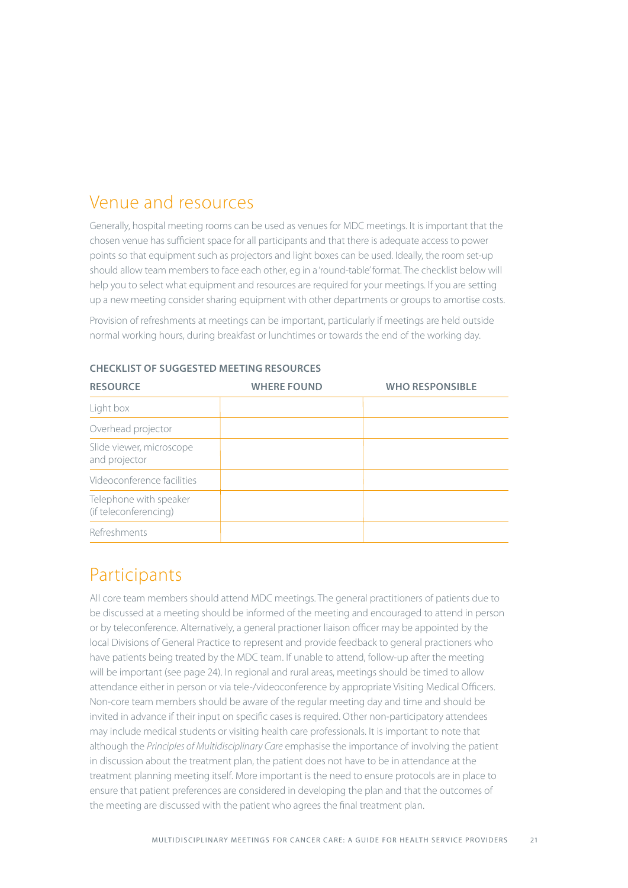## Venue and resources

Generally, hospital meeting rooms can be used as venues for MDC meetings. It is important that the chosen venue has sufficient space for all participants and that there is adequate access to power points so that equipment such as projectors and light boxes can be used. Ideally, the room set-up should allow team members to face each other, eg in a 'round-table' format. The checklist below will help you to select what equipment and resources are required for your meetings. If you are setting up a new meeting consider sharing equipment with other departments or groups to amortise costs.

Provision of refreshments at meetings can be important, particularly if meetings are held outside normal working hours, during breakfast or lunchtimes or towards the end of the working day.

| <b>RESOURCE</b>                                 | <b>WHERE FOUND</b> | <b>WHO RESPONSIBLE</b> |
|-------------------------------------------------|--------------------|------------------------|
| Light box                                       |                    |                        |
| Overhead projector                              |                    |                        |
| Slide viewer, microscope<br>and projector       |                    |                        |
| Videoconference facilities                      |                    |                        |
| Telephone with speaker<br>(if teleconferencing) |                    |                        |
| Refreshments                                    |                    |                        |

**Checklist of suggested meeting resources**

## Participants

All core team members should attend MDC meetings. The general practitioners of patients due to be discussed at a meeting should be informed of the meeting and encouraged to attend in person or by teleconference. Alternatively, a general practioner liaison officer may be appointed by the local Divisions of General Practice to represent and provide feedback to general practioners who have patients being treated by the MDC team. If unable to attend, follow-up after the meeting will be important (see page 24). In regional and rural areas, meetings should be timed to allow attendance either in person or via tele-/videoconference by appropriate Visiting Medical Officers. Non-core team members should be aware of the regular meeting day and time and should be invited in advance if their input on specific cases is required. Other non-participatory attendees may include medical students or visiting health care professionals. It is important to note that although the *Principles of Multidisciplinary Care* emphasise the importance of involving the patient in discussion about the treatment plan, the patient does not have to be in attendance at the treatment planning meeting itself. More important is the need to ensure protocols are in place to ensure that patient preferences are considered in developing the plan and that the outcomes of the meeting are discussed with the patient who agrees the final treatment plan.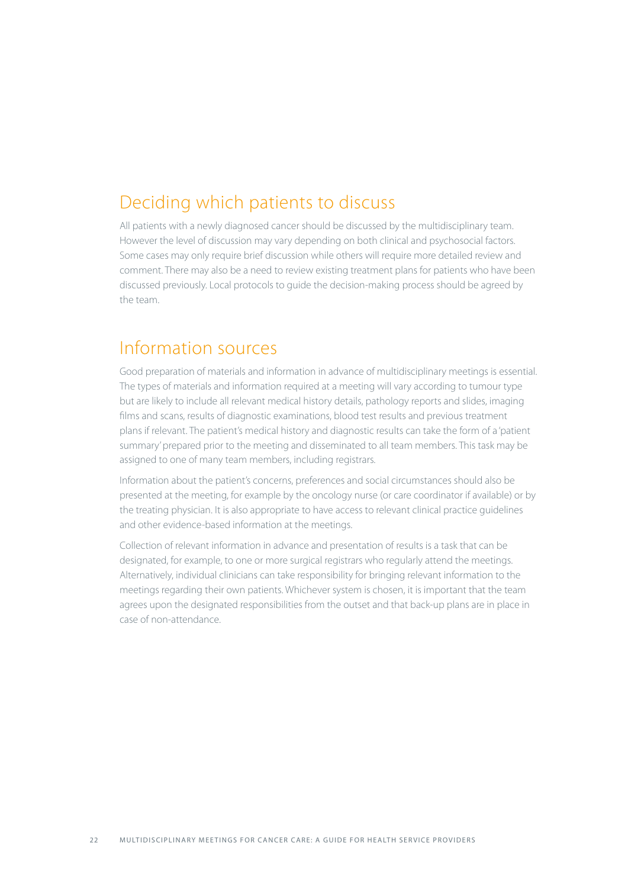## Deciding which patients to discuss

All patients with a newly diagnosed cancer should be discussed by the multidisciplinary team. However the level of discussion may vary depending on both clinical and psychosocial factors. Some cases may only require brief discussion while others will require more detailed review and comment. There may also be a need to review existing treatment plans for patients who have been discussed previously. Local protocols to guide the decision-making process should be agreed by the team.

### Information sources

Good preparation of materials and information in advance of multidisciplinary meetings is essential. The types of materials and information required at a meeting will vary according to tumour type but are likely to include all relevant medical history details, pathology reports and slides, imaging films and scans, results of diagnostic examinations, blood test results and previous treatment plans if relevant. The patient's medical history and diagnostic results can take the form of a 'patient summary' prepared prior to the meeting and disseminated to all team members. This task may be assigned to one of many team members, including registrars.

Information about the patient's concerns, preferences and social circumstances should also be presented at the meeting, for example by the oncology nurse (or care coordinator if available) or by the treating physician. It is also appropriate to have access to relevant clinical practice guidelines and other evidence-based information at the meetings.

Collection of relevant information in advance and presentation of results is a task that can be designated, for example, to one or more surgical registrars who regularly attend the meetings. Alternatively, individual clinicians can take responsibility for bringing relevant information to the meetings regarding their own patients. Whichever system is chosen, it is important that the team agrees upon the designated responsibilities from the outset and that back-up plans are in place in case of non-attendance.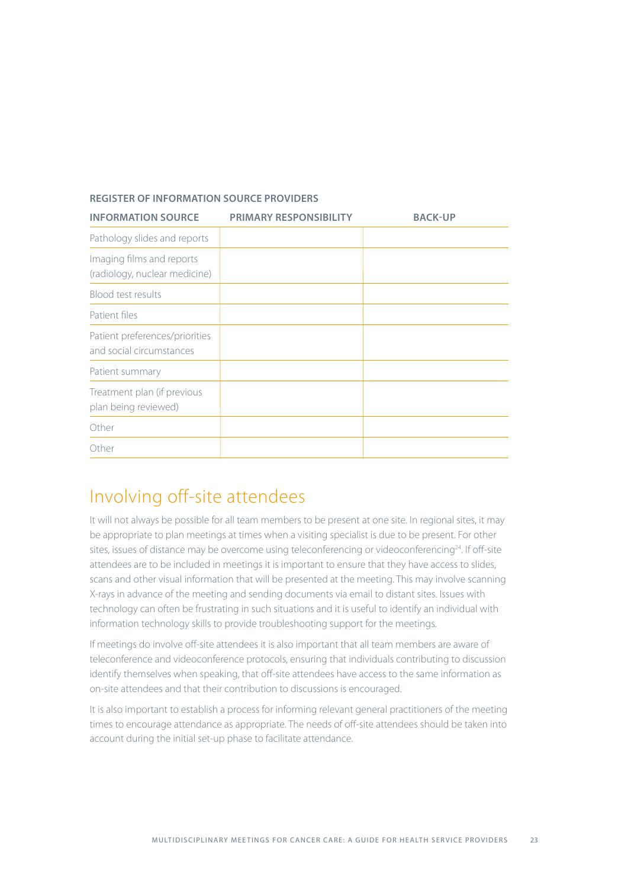#### **Register of information source providers**

| <b>INFORMATION SOURCE</b>                                  | <b>PRIMARY RESPONSIBILITY</b> | <b>BACK-UP</b> |
|------------------------------------------------------------|-------------------------------|----------------|
| Pathology slides and reports                               |                               |                |
| Imaging films and reports<br>(radiology, nuclear medicine) |                               |                |
| Blood test results                                         |                               |                |
| Patient files                                              |                               |                |
| Patient preferences/priorities<br>and social circumstances |                               |                |
| Patient summary                                            |                               |                |
| Treatment plan (if previous<br>plan being reviewed)        |                               |                |
| Other                                                      |                               |                |
| Other                                                      |                               |                |

## Involving off-site attendees

It will not always be possible for all team members to be present at one site. In regional sites, it may be appropriate to plan meetings at times when a visiting specialist is due to be present. For other sites, issues of distance may be overcome using teleconferencing or videoconferencing<sup>24</sup>. If off-site attendees are to be included in meetings it is important to ensure that they have access to slides, scans and other visual information that will be presented at the meeting. This may involve scanning X-rays in advance of the meeting and sending documents via email to distant sites. Issues with technology can often be frustrating in such situations and it is useful to identify an individual with information technology skills to provide troubleshooting support for the meetings.

If meetings do involve off-site attendees it is also important that all team members are aware of teleconference and videoconference protocols, ensuring that individuals contributing to discussion identify themselves when speaking, that off-site attendees have access to the same information as on-site attendees and that their contribution to discussions is encouraged.

It is also important to establish a process for informing relevant general practitioners of the meeting times to encourage attendance as appropriate. The needs of off-site attendees should be taken into account during the initial set-up phase to facilitate attendance.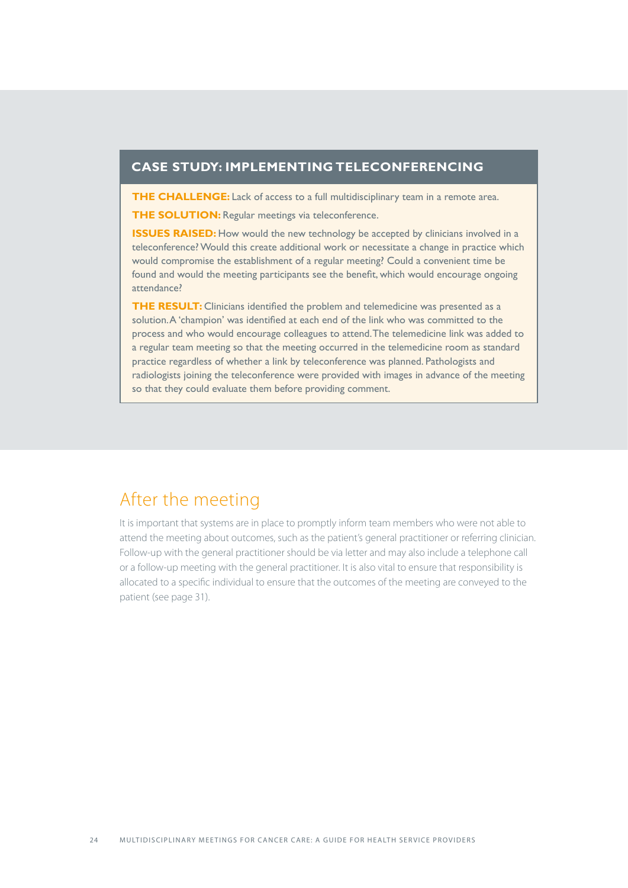#### **Case study: implementing teleconferencing**

**THE CHALLENGE:** Lack of access to a full multidisciplinary team in a remote area.

**THE SOLUTION:** Regular meetings via teleconference.

**ISSUES RAISED:** How would the new technology be accepted by clinicians involved in a teleconference? Would this create additional work or necessitate a change in practice which would compromise the establishment of a regular meeting? Could a convenient time be found and would the meeting participants see the benefit, which would encourage ongoing attendance?

**THE RESULT:** Clinicians identified the problem and telemedicine was presented as a solution. A 'champion' was identified at each end of the link who was committed to the process and who would encourage colleagues to attend. The telemedicine link was added to a regular team meeting so that the meeting occurred in the telemedicine room as standard practice regardless of whether a link by teleconference was planned. Pathologists and radiologists joining the teleconference were provided with images in advance of the meeting so that they could evaluate them before providing comment.

### After the meeting

It is important that systems are in place to promptly inform team members who were not able to attend the meeting about outcomes, such as the patient's general practitioner or referring clinician. Follow-up with the general practitioner should be via letter and may also include a telephone call or a follow-up meeting with the general practitioner. It is also vital to ensure that responsibility is allocated to a specific individual to ensure that the outcomes of the meeting are conveyed to the patient (see page 31).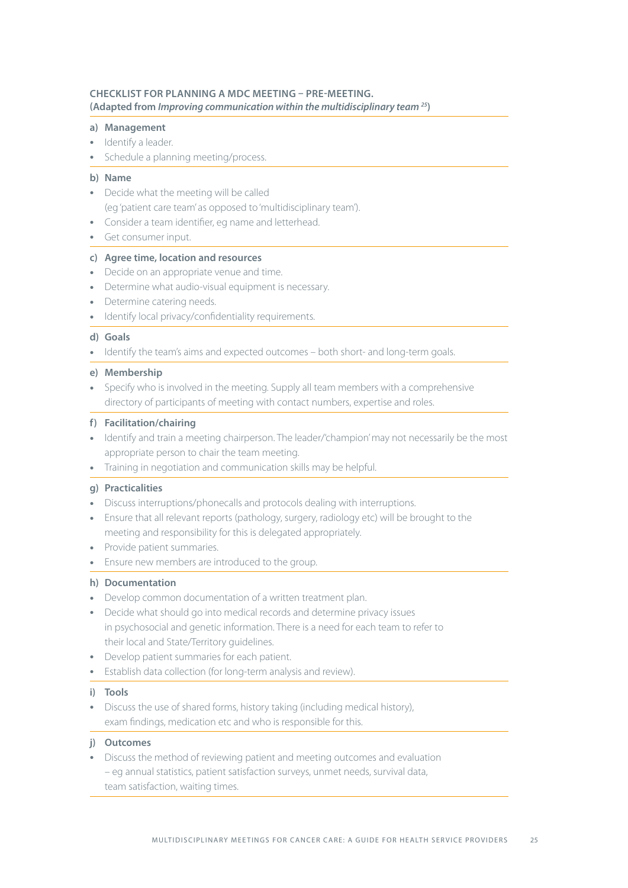#### **Checklist for planning a MDC meeting – pre-meeting. (Adapted from** *Improving communication within the multidisciplinary team 25***)**

#### **a) Management**

- Identify a leader.
- Schedule a planning meeting/process.

#### **b) Name**

- Decide what the meeting will be called (eg 'patient care team' as opposed to 'multidisciplinary team').
- Consider a team identifier, eg name and letterhead.
- Get consumer input.

#### **c) Agree time, location and resources**

- Decide on an appropriate venue and time.
- Determine what audio-visual equipment is necessary.
- Determine catering needs.
- Identify local privacy/confidentiality requirements.

#### **d) Goals**

• Identify the team's aims and expected outcomes – both short- and long-term goals.

#### **e) Membership**

• Specify who is involved in the meeting. Supply all team members with a comprehensive directory of participants of meeting with contact numbers, expertise and roles.

#### **f) Facilitation/chairing**

- Identify and train a meeting chairperson. The leader/'champion' may not necessarily be the most appropriate person to chair the team meeting.
- Training in negotiation and communication skills may be helpful.

#### **g) Practicalities**

- Discuss interruptions/phonecalls and protocols dealing with interruptions.
- Ensure that all relevant reports (pathology, surgery, radiology etc) will be brought to the meeting and responsibility for this is delegated appropriately.
- Provide patient summaries.
- Ensure new members are introduced to the group.

#### **h) Documentation**

- Develop common documentation of a written treatment plan.
- Decide what should go into medical records and determine privacy issues in psychosocial and genetic information. There is a need for each team to refer to their local and State/Territory guidelines.
- Develop patient summaries for each patient.
- Establish data collection (for long-term analysis and review).

#### **i) Tools**

• Discuss the use of shared forms, history taking (including medical history), exam findings, medication etc and who is responsible for this.

#### **j) Outcomes**

• Discuss the method of reviewing patient and meeting outcomes and evaluation – eg annual statistics, patient satisfaction surveys, unmet needs, survival data, team satisfaction, waiting times.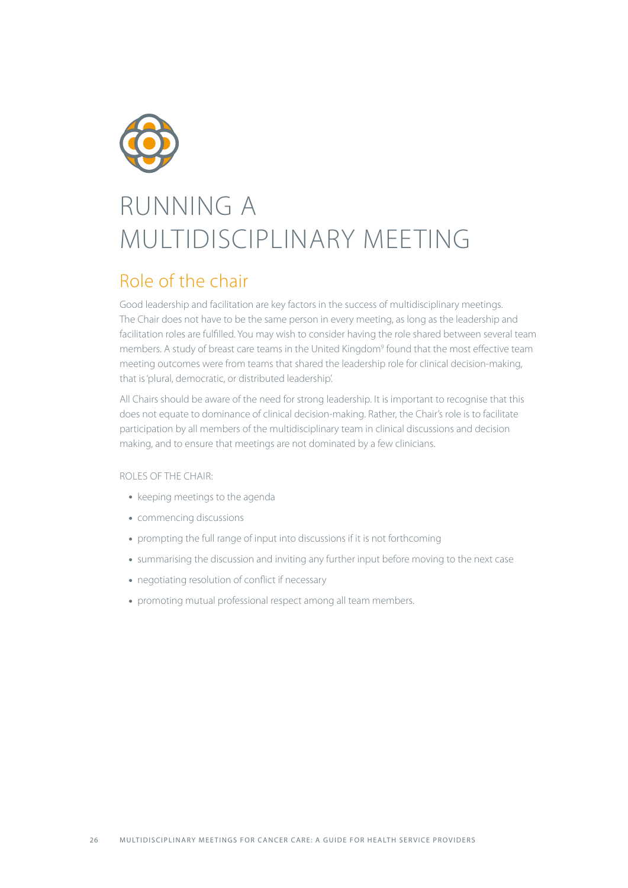

## RUNNING A MULTIDISCIPLINARY MEETING

## Role of the chair

Good leadership and facilitation are key factors in the success of multidisciplinary meetings. The Chair does not have to be the same person in every meeting, as long as the leadership and facilitation roles are fulfilled. You may wish to consider having the role shared between several team members. A study of breast care teams in the United Kingdom<sup>9</sup> found that the most effective team meeting outcomes were from teams that shared the leadership role for clinical decision-making, that is 'plural, democratic, or distributed leadership'.

All Chairs should be aware of the need for strong leadership. It is important to recognise that this does not equate to dominance of clinical decision-making. Rather, the Chair's role is to facilitate participation by all members of the multidisciplinary team in clinical discussions and decision making, and to ensure that meetings are not dominated by a few clinicians.

#### Roles of the Chair:

- keeping meetings to the agenda
- commencing discussions
- prompting the full range of input into discussions if it is not forthcoming
- summarising the discussion and inviting any further input before moving to the next case
- negotiating resolution of conflict if necessary
- promoting mutual professional respect among all team members.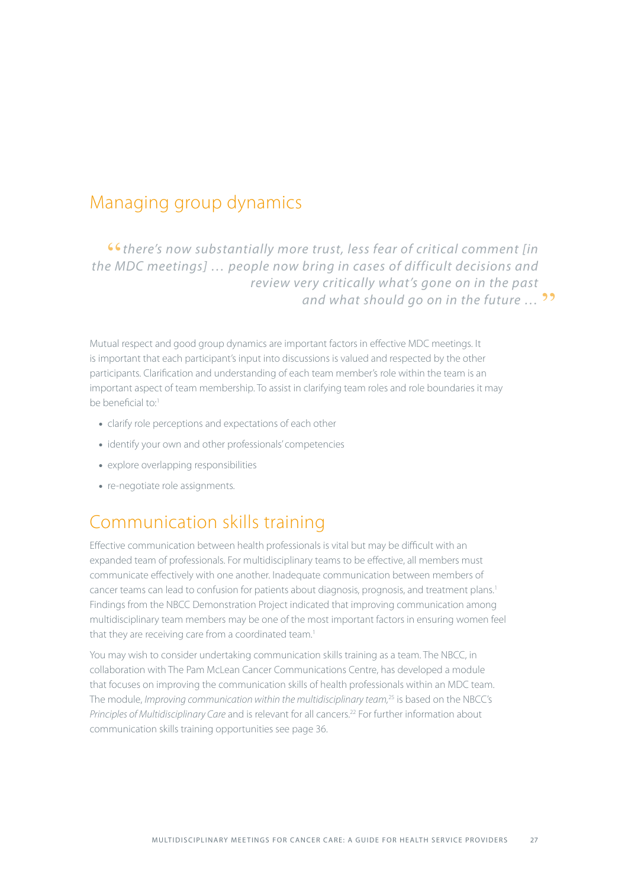### Managing group dynamics

"*there's now substantially more trust, less fear of critical comment [in the MDC meetings] … people now bring in cases of difficult decisions and review very critically what's gone on in the past*  and what should go on in the future ...<sup>99</sup>

Mutual respect and good group dynamics are important factors in effective MDC meetings. It is important that each participant's input into discussions is valued and respected by the other participants. Clarification and understanding of each team member's role within the team is an important aspect of team membership. To assist in clarifying team roles and role boundaries it may be beneficial to:1

- clarify role perceptions and expectations of each other
- identify your own and other professionals' competencies
- explore overlapping responsibilities
- re-negotiate role assignments.

## Communication skills training

Effective communication between health professionals is vital but may be difficult with an expanded team of professionals. For multidisciplinary teams to be effective, all members must communicate effectively with one another. Inadequate communication between members of cancer teams can lead to confusion for patients about diagnosis, prognosis, and treatment plans.<sup>1</sup> Findings from the NBCC Demonstration Project indicated that improving communication among multidisciplinary team members may be one of the most important factors in ensuring women feel that they are receiving care from a coordinated team.<sup>1</sup>

You may wish to consider undertaking communication skills training as a team. The NBCC, in collaboration with The Pam McLean Cancer Communications Centre, has developed a module that focuses on improving the communication skills of health professionals within an MDC team. The module, *Improving communication within the multidisciplinary team,*25 is based on the NBCC's *Principles of Multidisciplinary Care* and is relevant for all cancers.22 For further information about communication skills training opportunities see page 36.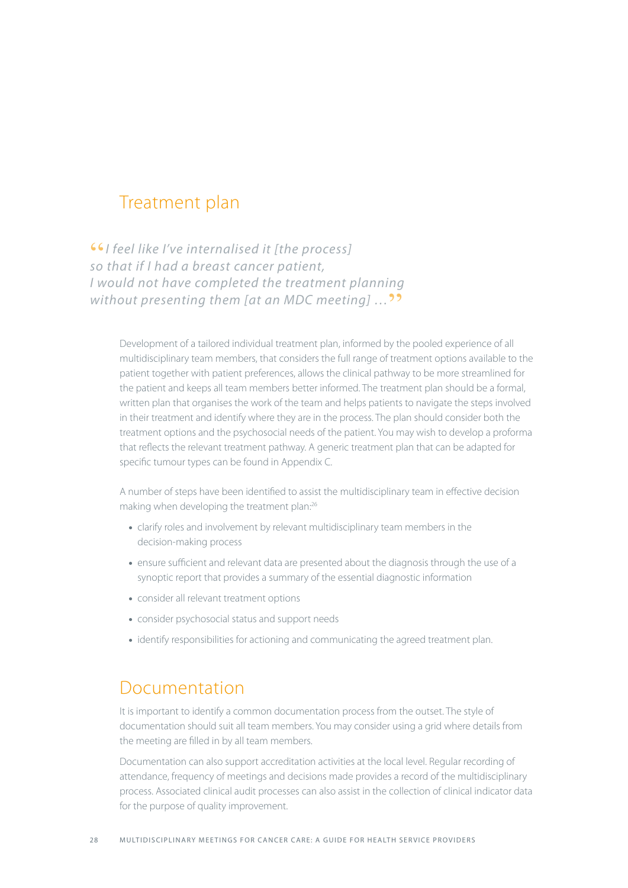## Treatment plan

"*I feel like I've internalised it [the process] so that if I had a breast cancer patient, I would not have completed the treatment planning without presenting them [at an MDC meeting]* ...<sup>99</sup>

Development of a tailored individual treatment plan, informed by the pooled experience of all multidisciplinary team members, that considers the full range of treatment options available to the patient together with patient preferences, allows the clinical pathway to be more streamlined for the patient and keeps all team members better informed. The treatment plan should be a formal, written plan that organises the work of the team and helps patients to navigate the steps involved in their treatment and identify where they are in the process. The plan should consider both the treatment options and the psychosocial needs of the patient. You may wish to develop a proforma that reflects the relevant treatment pathway. A generic treatment plan that can be adapted for specific tumour types can be found in Appendix C.

A number of steps have been identified to assist the multidisciplinary team in effective decision making when developing the treatment plan:<sup>26</sup>

- clarify roles and involvement by relevant multidisciplinary team members in the decision-making process
- ensure sufficient and relevant data are presented about the diagnosis through the use of a synoptic report that provides a summary of the essential diagnostic information
- consider all relevant treatment options
- consider psychosocial status and support needs
- identify responsibilities for actioning and communicating the agreed treatment plan.

## Documentation

It is important to identify a common documentation process from the outset. The style of documentation should suit all team members. You may consider using a grid where details from the meeting are filled in by all team members.

Documentation can also support accreditation activities at the local level. Regular recording of attendance, frequency of meetings and decisions made provides a record of the multidisciplinary process. Associated clinical audit processes can also assist in the collection of clinical indicator data for the purpose of quality improvement.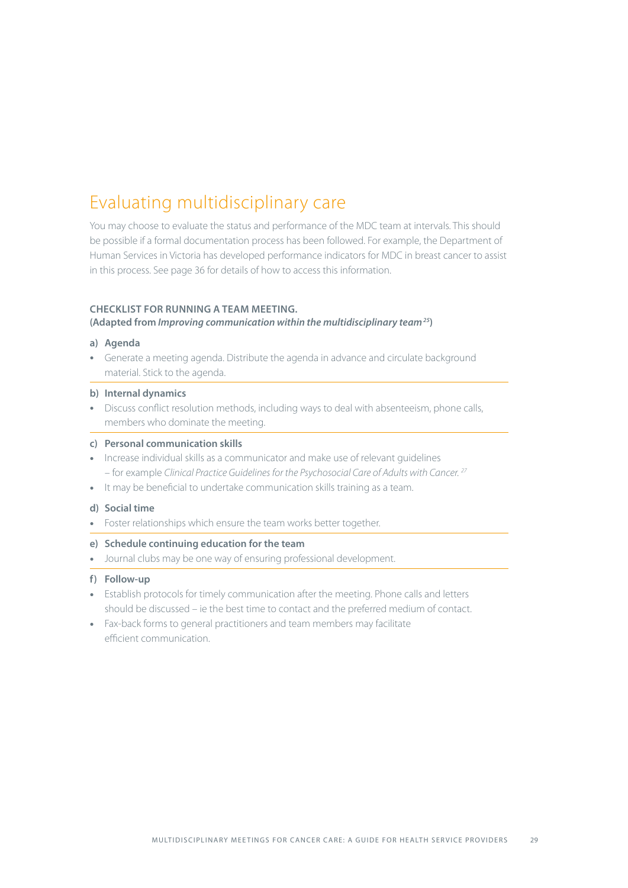## Evaluating multidisciplinary care

You may choose to evaluate the status and performance of the MDC team at intervals. This should be possible if a formal documentation process has been followed. For example, the Department of Human Services in Victoria has developed performance indicators for MDC in breast cancer to assist in this process. See page 36 for details of how to access this information.

#### **Checklist for running a team meeting.**

#### **(Adapted from** *Improving communication within the multidisciplinary team 25***)**

#### **a) Agenda**

• Generate a meeting agenda. Distribute the agenda in advance and circulate background material. Stick to the agenda.

#### **b) Internal dynamics**

• Discuss conflict resolution methods, including ways to deal with absenteeism, phone calls, members who dominate the meeting.

#### **c) Personal communication skills**

- Increase individual skills as a communicator and make use of relevant guidelines – for example *Clinical Practice Guidelines for the Psychosocial Care of Adults with Cancer. 27*
- It may be beneficial to undertake communication skills training as a team.

#### **d) Social time**

• Foster relationships which ensure the team works better together.

#### **e) Schedule continuing education for the team**

• Journal clubs may be one way of ensuring professional development.

#### **f) Follow-up**

- Establish protocols for timely communication after the meeting. Phone calls and letters should be discussed – ie the best time to contact and the preferred medium of contact.
- Fax-back forms to general practitioners and team members may facilitate efficient communication.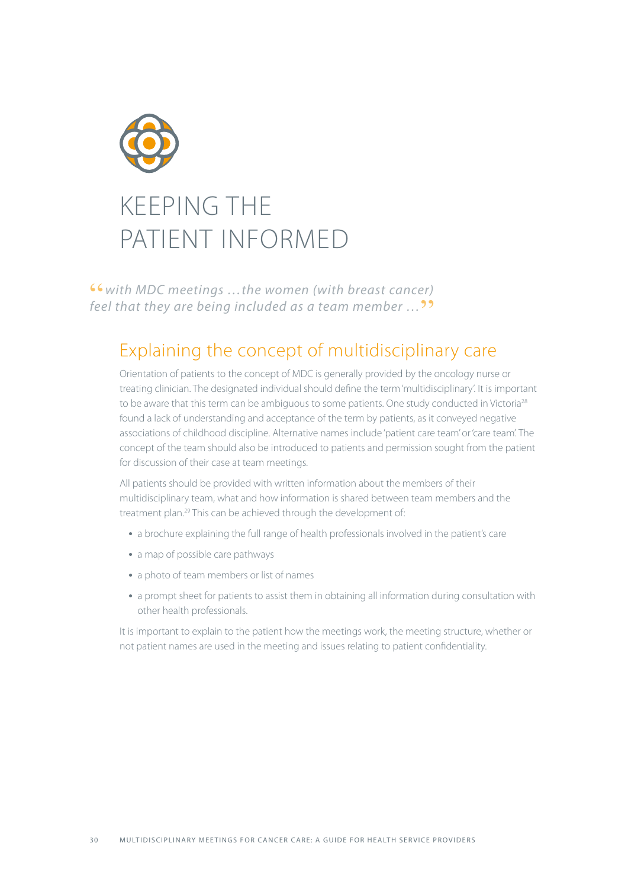

"*with MDC meetings …the women (with breast cancer)*  feel that they are being included as a team member ...<sup>99</sup>

## Explaining the concept of multidisciplinary care

Orientation of patients to the concept of MDC is generally provided by the oncology nurse or treating clinician. The designated individual should define the term 'multidisciplinary'. It is important to be aware that this term can be ambiguous to some patients. One study conducted in Victoria<sup>28</sup> found a lack of understanding and acceptance of the term by patients, as it conveyed negative associations of childhood discipline. Alternative names include 'patient care team' or 'care team'. The concept of the team should also be introduced to patients and permission sought from the patient for discussion of their case at team meetings.

All patients should be provided with written information about the members of their multidisciplinary team, what and how information is shared between team members and the treatment plan.<sup>29</sup> This can be achieved through the development of:

- a brochure explaining the full range of health professionals involved in the patient's care
- a map of possible care pathways
- a photo of team members or list of names
- a prompt sheet for patients to assist them in obtaining all information during consultation with other health professionals.

It is important to explain to the patient how the meetings work, the meeting structure, whether or not patient names are used in the meeting and issues relating to patient confidentiality.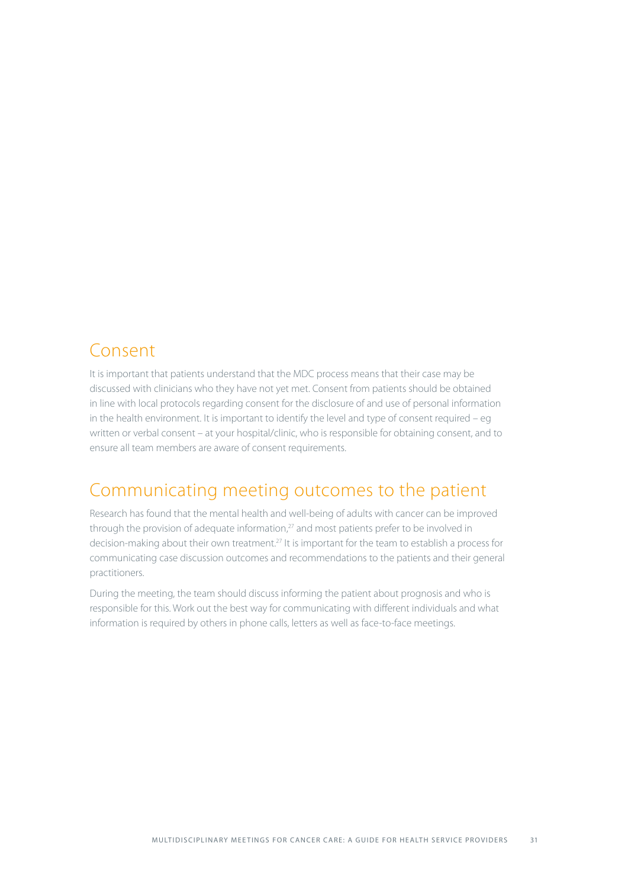## Consent

It is important that patients understand that the MDC process means that their case may be discussed with clinicians who they have not yet met. Consent from patients should be obtained in line with local protocols regarding consent for the disclosure of and use of personal information in the health environment. It is important to identify the level and type of consent required – eg written or verbal consent – at your hospital/clinic, who is responsible for obtaining consent, and to ensure all team members are aware of consent requirements.

## Communicating meeting outcomes to the patient

Research has found that the mental health and well-being of adults with cancer can be improved through the provision of adequate information, $27$  and most patients prefer to be involved in decision-making about their own treatment.<sup>27</sup> It is important for the team to establish a process for communicating case discussion outcomes and recommendations to the patients and their general practitioners.

During the meeting, the team should discuss informing the patient about prognosis and who is responsible for this. Work out the best way for communicating with different individuals and what information is required by others in phone calls, letters as well as face-to-face meetings.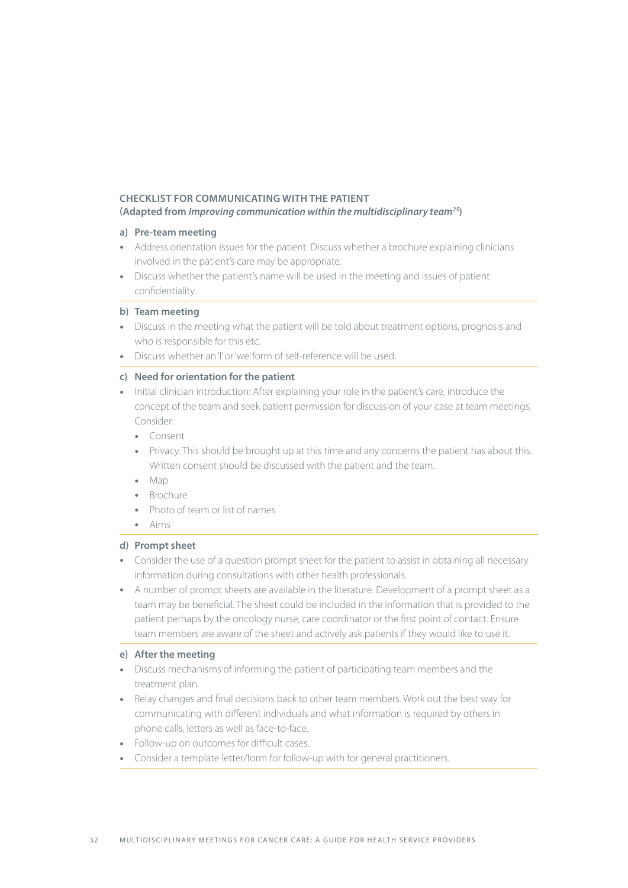#### **Checklist for communicating with the patient**

**(Adapted from** *Improving communication within the multidisciplinary team25***)**

#### **a) Pre-team meeting**

- Address orientation issues for the patient. Discuss whether a brochure explaining clinicians involved in the patient's care may be appropriate.
- Discuss whether the patient's name will be used in the meeting and issues of patient confidentiality.

#### **b) Team meeting**

- Discuss in the meeting what the patient will be told about treatment options, prognosis and who is responsible for this etc.
- Discuss whether an 'I' or 'we' form of self-reference will be used.

#### **c) Need for orientation for the patient**

- Initial clinician introduction: After explaining your role in the patient's care, introduce the concept of the team and seek patient permission for discussion of your case at team meetings. Consider:
	- Consent
	- Privacy. This should be brought up at this time and any concerns the patient has about this. Written consent should be discussed with the patient and the team.
	- Map
	- Brochure
	- Photo of team or list of names
	- Aims

#### **d) Prompt sheet**

- Consider the use of a question prompt sheet for the patient to assist in obtaining all necessary information during consultations with other health professionals.
- A number of prompt sheets are available in the literature. Development of a prompt sheet as a team may be beneficial. The sheet could be included in the information that is provided to the patient perhaps by the oncology nurse, care coordinator or the first point of contact. Ensure team members are aware of the sheet and actively ask patients if they would like to use it.

#### **e) After the meeting**

- Discuss mechanisms of informing the patient of participating team members and the treatment plan.
- Relay changes and final decisions back to other team members. Work out the best way for communicating with different individuals and what information is required by others in phone calls, letters as well as face-to-face.
- Follow-up on outcomes for difficult cases.
- Consider a template letter/form for follow-up with for general practitioners.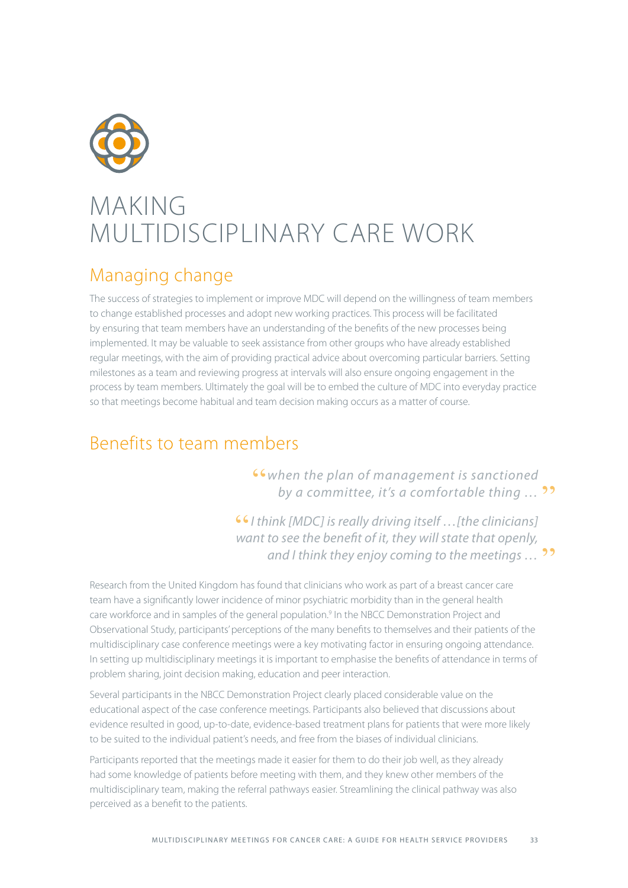

## MAKING MULTIDISCIPI INARY CARE WORK

## Managing change

The success of strategies to implement or improve MDC will depend on the willingness of team members to change established processes and adopt new working practices. This process will be facilitated by ensuring that team members have an understanding of the benefits of the new processes being implemented. It may be valuable to seek assistance from other groups who have already established regular meetings, with the aim of providing practical advice about overcoming particular barriers. Setting milestones as a team and reviewing progress at intervals will also ensure ongoing engagement in the process by team members. Ultimately the goal will be to embed the culture of MDC into everyday practice so that meetings become habitual and team decision making occurs as a matter of course.

## Benefits to team members

"*when the plan of management is sanctioned*  by a committee, it's a comfortable thing ... <sup>99</sup>

"*I think [MDC] is really driving itself …[the clinicians] want to see the benefit of it, they will state that openly,*  and I think they enjoy coming to the meetings ... **??** 

Research from the United Kingdom has found that clinicians who work as part of a breast cancer care team have a significantly lower incidence of minor psychiatric morbidity than in the general health care workforce and in samples of the general population.<sup>9</sup> In the NBCC Demonstration Project and Observational Study, participants' perceptions of the many benefits to themselves and their patients of the multidisciplinary case conference meetings were a key motivating factor in ensuring ongoing attendance. In setting up multidisciplinary meetings it is important to emphasise the benefits of attendance in terms of problem sharing, joint decision making, education and peer interaction.

Several participants in the NBCC Demonstration Project clearly placed considerable value on the educational aspect of the case conference meetings. Participants also believed that discussions about evidence resulted in good, up-to-date, evidence-based treatment plans for patients that were more likely to be suited to the individual patient's needs, and free from the biases of individual clinicians.

Participants reported that the meetings made it easier for them to do their job well, as they already had some knowledge of patients before meeting with them, and they knew other members of the multidisciplinary team, making the referral pathways easier. Streamlining the clinical pathway was also perceived as a benefit to the patients.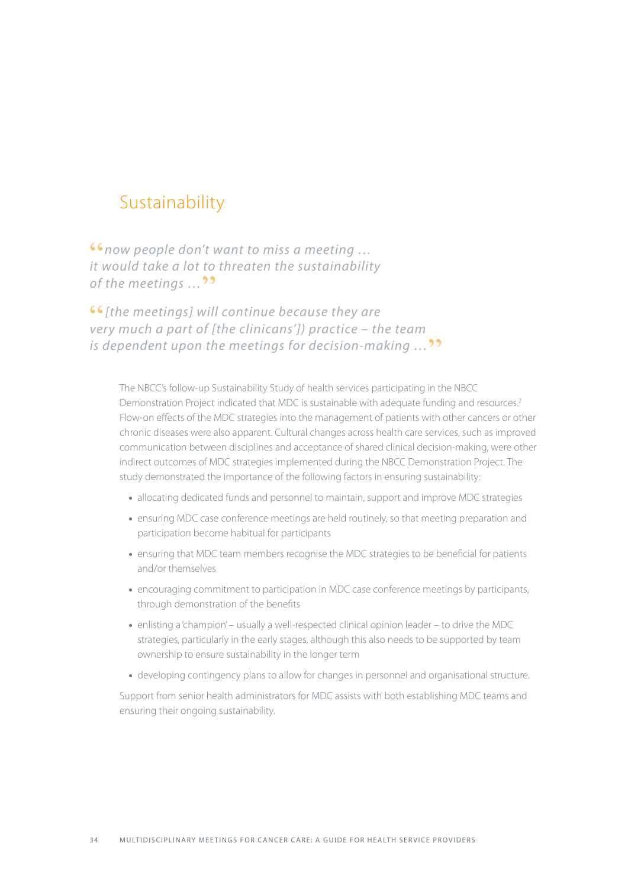## Sustainability

"*now people don't want to miss a meeting … it would take a lot to threaten the sustainability*  of the meetings ...<sup>99</sup>

"*[the meetings] will continue because they are very much a part of [the clinicans']) practice – the team is dependent upon the meetings for decision-making* ...<sup>99</sup>

The NBCC's follow-up Sustainability Study of health services participating in the NBCC Demonstration Project indicated that MDC is sustainable with adequate funding and resources.<sup>2</sup> Flow-on effects of the MDC strategies into the management of patients with other cancers or other chronic diseases were also apparent. Cultural changes across health care services, such as improved communication between disciplines and acceptance of shared clinical decision-making, were other indirect outcomes of MDC strategies implemented during the NBCC Demonstration Project. The study demonstrated the importance of the following factors in ensuring sustainability:

- allocating dedicated funds and personnel to maintain, support and improve MDC strategies
- ensuring MDC case conference meetings are held routinely, so that meeting preparation and participation become habitual for participants
- ensuring that MDC team members recognise the MDC strategies to be beneficial for patients and/or themselves
- encouraging commitment to participation in MDC case conference meetings by participants, through demonstration of the benefits
- enlisting a 'champion' usually a well-respected clinical opinion leader to drive the MDC strategies, particularly in the early stages, although this also needs to be supported by team ownership to ensure sustainability in the longer term
- developing contingency plans to allow for changes in personnel and organisational structure.

Support from senior health administrators for MDC assists with both establishing MDC teams and ensuring their ongoing sustainability.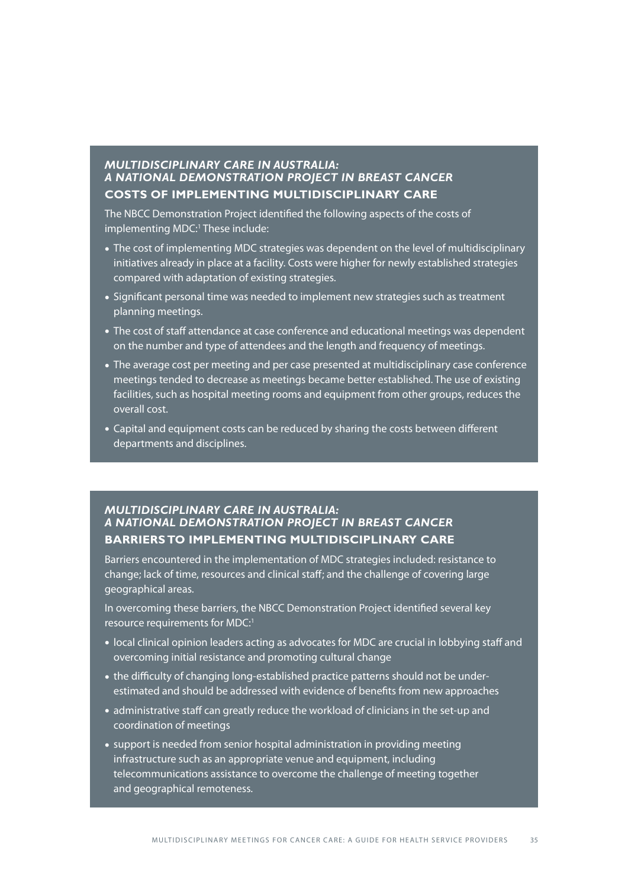#### *Multidisciplinary Care in Australia: a National Demonstration Project in Breast Cancer* **Costs of implementing multidisciplinary care**

The NBCC Demonstration Project identified the following aspects of the costs of implementing MDC: 1 These include:

- The cost of implementing MDC strategies was dependent on the level of multidisciplinary initiatives already in place at a facility. Costs were higher for newly established strategies compared with adaptation of existing strategies.
- Significant personal time was needed to implement new strategies such as treatment planning meetings.
- The cost of staff attendance at case conference and educational meetings was dependent on the number and type of attendees and the length and frequency of meetings.
- The average cost per meeting and per case presented at multidisciplinary case conference meetings tended to decrease as meetings became better established. The use of existing facilities, such as hospital meeting rooms and equipment from other groups, reduces the overall cost.
- Capital and equipment costs can be reduced by sharing the costs between different departments and disciplines.

#### *Multidisciplinary Care in Australia: a National Demonstration Project in Breast Cancer*  **Barriers to implementing multidisciplinary care**

Barriers encountered in the implementation of MDC strategies included: resistance to change; lack of time, resources and clinical staff; and the challenge of covering large geographical areas.

In overcoming these barriers, the NBCC Demonstration Project identified several key resource requirements for MDC: 1

- local clinical opinion leaders acting as advocates for MDC are crucial in lobbying staff and overcoming initial resistance and promoting cultural change
- the difficulty of changing long-established practice patterns should not be underestimated and should be addressed with evidence of benefits from new approaches
- administrative staff can greatly reduce the workload of clinicians in the set-up and coordination of meetings
- support is needed from senior hospital administration in providing meeting infrastructure such as an appropriate venue and equipment, including telecommunications assistance to overcome the challenge of meeting together and geographical remoteness.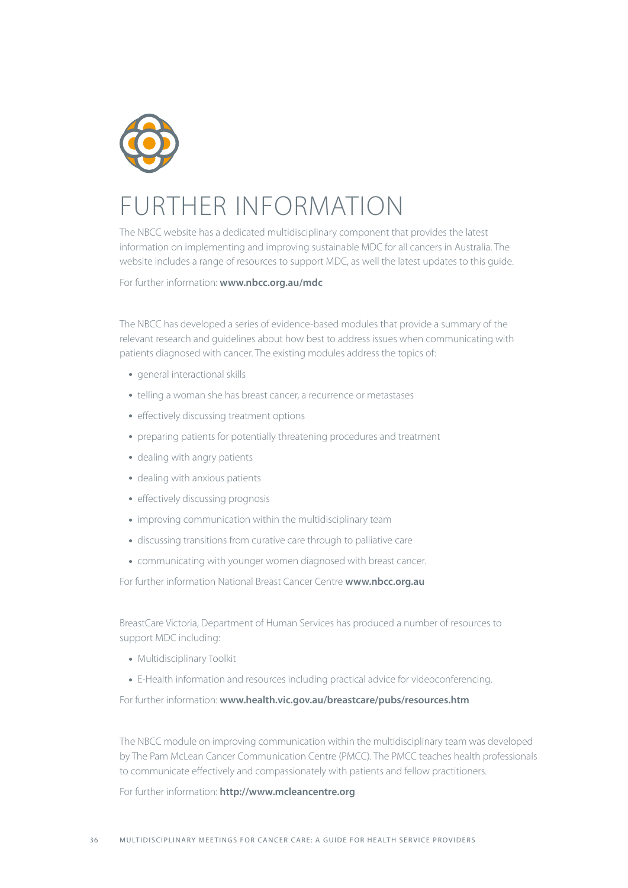

## FURTHER INFORMATION

The NBCC website has a dedicated multidisciplinary component that provides the latest information on implementing and improving sustainable MDC for all cancers in Australia. The website includes a range of resources to support MDC, as well the latest updates to this guide.

For further information: **www.nbcc.org.au/mdc**

The NBCC has developed a series of evidence-based modules that provide a summary of the relevant research and guidelines about how best to address issues when communicating with patients diagnosed with cancer. The existing modules address the topics of:

- general interactional skills
- telling a woman she has breast cancer, a recurrence or metastases
- effectively discussing treatment options
- preparing patients for potentially threatening procedures and treatment
- dealing with angry patients
- dealing with anxious patients
- effectively discussing prognosis
- improving communication within the multidisciplinary team
- discussing transitions from curative care through to palliative care
- communicating with younger women diagnosed with breast cancer.

For further information National Breast Cancer Centre **www.nbcc.org.au**

BreastCare Victoria, Department of Human Services has produced a number of resources to support MDC including:

- Multidisciplinary Toolkit
- E-Health information and resources including practical advice for videoconferencing.

For further information: **www.health.vic.gov.au/breastcare/pubs/resources.htm**

The NBCC module on improving communication within the multidisciplinary team was developed by The Pam McLean Cancer Communication Centre (PMCC). The PMCC teaches health professionals to communicate effectively and compassionately with patients and fellow practitioners.

#### For further information: **http://www.mcleancentre.org**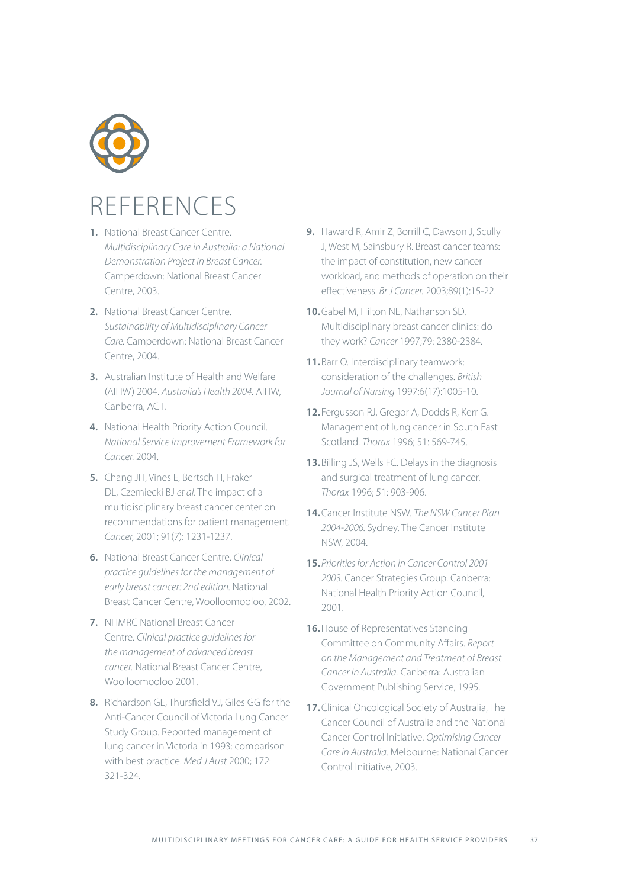

## REFERENCES

- **1.** National Breast Cancer Centre. *Multidisciplinary Care in Australia: a National Demonstration Project in Breast Cancer.*  Camperdown: National Breast Cancer Centre, 2003.
- **2.** National Breast Cancer Centre. *Sustainability of Multidisciplinary Cancer Care.* Camperdown: National Breast Cancer Centre, 2004.
- **3.** Australian Institute of Health and Welfare (AIHW) 2004. *Australia's Health 2004.* AIHW, Canberra, ACT.
- **4.** National Health Priority Action Council. *National Service Improvement Framework for Cancer.* 2004.
- **5.** Chang JH, Vines E, Bertsch H, Fraker DL, Czerniecki BJ *et al.* The impact of a multidisciplinary breast cancer center on recommendations for patient management. *Cancer,* 2001; 91(7): 1231-1237.
- **6.** National Breast Cancer Centre. *Clinical practice guidelines for the management of early breast cancer: 2nd edition.* National Breast Cancer Centre, Woolloomooloo, 2002.
- **7.** NHMRC National Breast Cancer Centre. *Clinical practice guidelines for the management of advanced breast cancer.* National Breast Cancer Centre, Woolloomooloo 2001.
- **8.** Richardson GE, Thursfield VJ, Giles GG for the Anti-Cancer Council of Victoria Lung Cancer Study Group. Reported management of lung cancer in Victoria in 1993: comparison with best practice. *Med J Aust* 2000; 172: 321-324.
- **9.** Haward R, Amir Z, Borrill C, Dawson J, Scully J, West M, Sainsbury R. Breast cancer teams: the impact of constitution, new cancer workload, and methods of operation on their effectiveness. *Br J Cancer.* 2003;89(1):15-22.
- **10.**Gabel M, Hilton NE, Nathanson SD. Multidisciplinary breast cancer clinics: do they work? *Cancer* 1997;79: 2380-2384.
- **11.**Barr O. Interdisciplinary teamwork: consideration of the challenges. *British Journal of Nursing* 1997;6(17):1005-10.
- **12.**Fergusson RJ, Gregor A, Dodds R, Kerr G. Management of lung cancer in South East Scotland. *Thorax* 1996; 51: 569-745.
- **13.**Billing JS, Wells FC. Delays in the diagnosis and surgical treatment of lung cancer. *Thorax* 1996; 51: 903-906.
- **14.**Cancer Institute NSW. *The NSW Cancer Plan 2004-2006.* Sydney. The Cancer Institute NSW, 2004.
- **15.***Priorities for Action in Cancer Control 2001– 2003.* Cancer Strategies Group. Canberra: National Health Priority Action Council, 2001.
- **16.**House of Representatives Standing Committee on Community Affairs. *Report on the Management and Treatment of Breast Cancer in Australia.* Canberra: Australian Government Publishing Service, 1995.
- **17.**Clinical Oncological Society of Australia, The Cancer Council of Australia and the National Cancer Control Initiative. *Optimising Cancer Care in Australia.* Melbourne: National Cancer Control Initiative, 2003.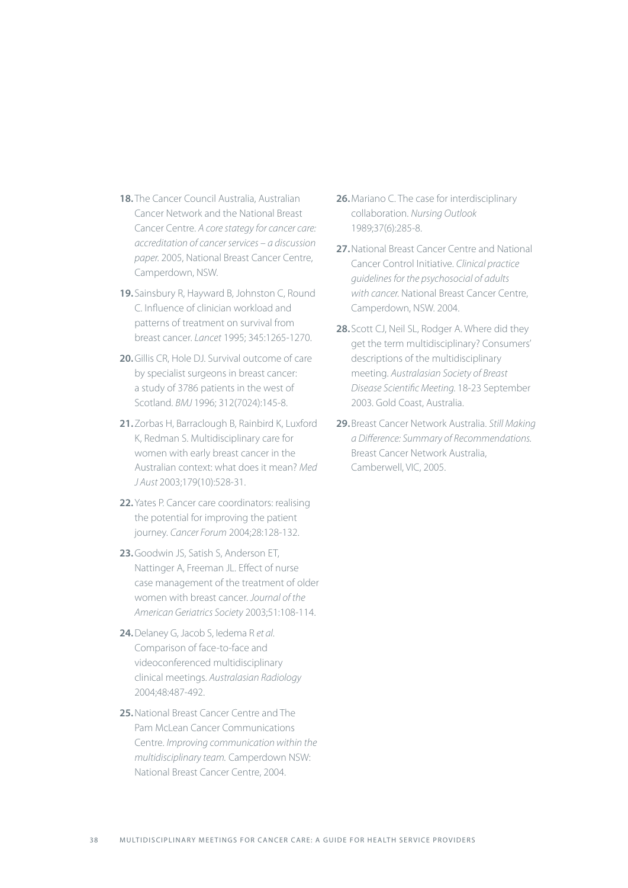- **18.**The Cancer Council Australia, Australian Cancer Network and the National Breast Cancer Centre. *A core stategy for cancer care: accreditation of cancer services – a discussion paper.* 2005, National Breast Cancer Centre, Camperdown, NSW.
- **19.**Sainsbury R, Hayward B, Johnston C, Round C. Influence of clinician workload and patterns of treatment on survival from breast cancer. *Lancet* 1995; 345:1265-1270.
- **20.**Gillis CR, Hole DJ. Survival outcome of care by specialist surgeons in breast cancer: a study of 3786 patients in the west of Scotland. *BMJ* 1996; 312(7024):145-8.
- **21.**Zorbas H, Barraclough B, Rainbird K, Luxford K, Redman S. Multidisciplinary care for women with early breast cancer in the Australian context: what does it mean? *Med J Aust* 2003;179(10):528-31.
- **22.**Yates P. Cancer care coordinators: realising the potential for improving the patient journey. *Cancer Forum* 2004;28:128-132.
- **23.**Goodwin JS, Satish S, Anderson ET, Nattinger A, Freeman JL. Effect of nurse case management of the treatment of older women with breast cancer. *Journal of the American Geriatrics Society* 2003;51:108-114.
- **24.**Delaney G, Jacob S, Iedema R *et al*. Comparison of face-to-face and videoconferenced multidisciplinary clinical meetings. *Australasian Radiology* 2004;48:487-492.
- **25.**National Breast Cancer Centre and The Pam McLean Cancer Communications Centre. *Improving communication within the multidisciplinary team.* Camperdown NSW: National Breast Cancer Centre, 2004.
- **26.**Mariano C. The case for interdisciplinary collaboration. *Nursing Outlook*  1989;37(6):285-8.
- **27.**National Breast Cancer Centre and National Cancer Control Initiative. *Clinical practice guidelines for the psychosocial of adults with cancer.* National Breast Cancer Centre, Camperdown, NSW. 2004.
- **28.**Scott CJ, Neil SL, Rodger A. Where did they get the term multidisciplinary? Consumers' descriptions of the multidisciplinary meeting. *Australasian Society of Breast Disease Scientific Meeting.* 18-23 September 2003. Gold Coast, Australia.
- **29.**Breast Cancer Network Australia. *Still Making a Difference: Summary of Recommendations.*  Breast Cancer Network Australia, Camberwell, VIC, 2005.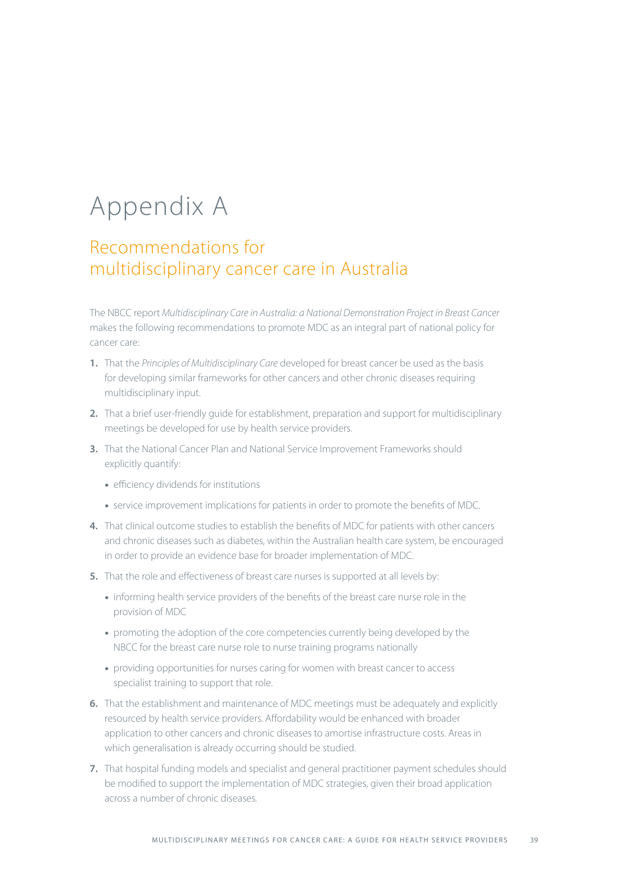## Appendix A

## Recommendations for multidisciplinary cancer care in Australia

The NBCC report *Multidisciplinary Care in Australia: a National Demonstration Project in Breast Cancer*  makes the following recommendations to promote MDC as an integral part of national policy for cancer care:

- **1.** That the *Principles of Multidisciplinary Care* developed for breast cancer be used as the basis for developing similar frameworks for other cancers and other chronic diseases requiring multidisciplinary input.
- **2.** That a brief user-friendly guide for establishment, preparation and support for multidisciplinary meetings be developed for use by health service providers.
- **3.** That the National Cancer Plan and National Service Improvement Frameworks should explicitly quantify:
	- efficiency dividends for institutions
	- service improvement implications for patients in order to promote the benefits of MDC.
- **4.** That clinical outcome studies to establish the benefits of MDC for patients with other cancers and chronic diseases such as diabetes, within the Australian health care system, be encouraged in order to provide an evidence base for broader implementation of MDC.
- **5.** That the role and effectiveness of breast care nurses is supported at all levels by:
	- informing health service providers of the benefits of the breast care nurse role in the provision of MDC
	- promoting the adoption of the core competencies currently being developed by the NBCC for the breast care nurse role to nurse training programs nationally
	- providing opportunities for nurses caring for women with breast cancer to access specialist training to support that role.
- **6.** That the establishment and maintenance of MDC meetings must be adequately and explicitly resourced by health service providers. Affordability would be enhanced with broader application to other cancers and chronic diseases to amortise infrastructure costs. Areas in which generalisation is already occurring should be studied.
- **7.** That hospital funding models and specialist and general practitioner payment schedules should be modified to support the implementation of MDC strategies, given their broad application across a number of chronic diseases.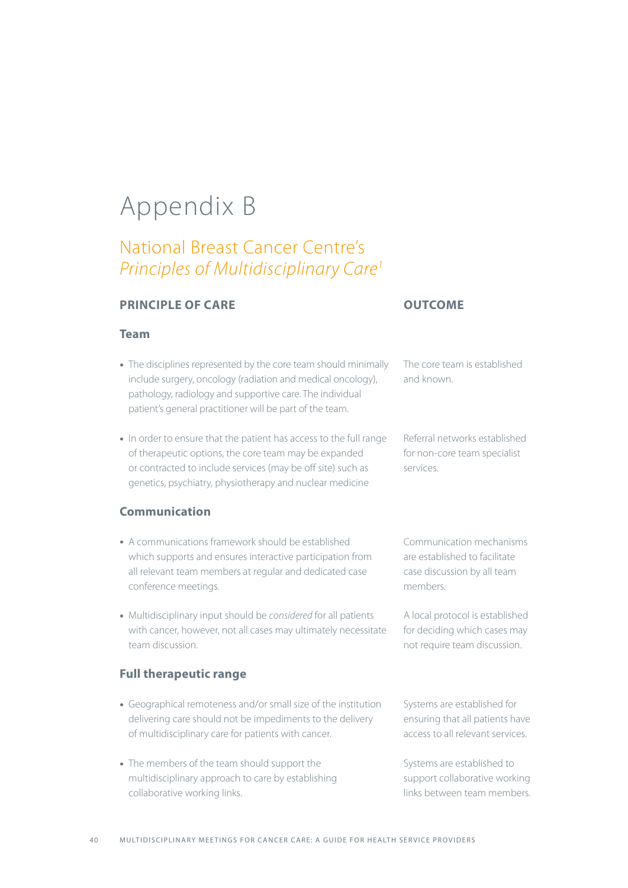## Appendix B

## National Breast Cancer Centre's *Principles of Multidisciplinary Care1*

#### **Principle of care**

#### **Team**

- The disciplines represented by the core team should minimally include surgery, oncology (radiation and medical oncology), pathology, radiology and supportive care. The individual patient's general practitioner will be part of the team.
- In order to ensure that the patient has access to the full range of therapeutic options, the core team may be expanded or contracted to include services (may be off site) such as genetics, psychiatry, physiotherapy and nuclear medicine

#### **Communication**

- A communications framework should be established which supports and ensures interactive participation from all relevant team members at regular and dedicated case conference meetings.
- Multidisciplinary input should be *considered* for all patients with cancer, however, not all cases may ultimately necessitate team discussion.

#### **Full therapeutic range**

- Geographical remoteness and/or small size of the institution delivering care should not be impediments to the delivery of multidisciplinary care for patients with cancer.
- The members of the team should support the multidisciplinary approach to care by establishing collaborative working links.

#### **Outcome**

The core team is established and known.

Referral networks established for non-core team specialist services.

Communication mechanisms are established to facilitate case discussion by all team members.

A local protocol is established for deciding which cases may not require team discussion.

Systems are established for ensuring that all patients have access to all relevant services.

Systems are established to support collaborative working links between team members.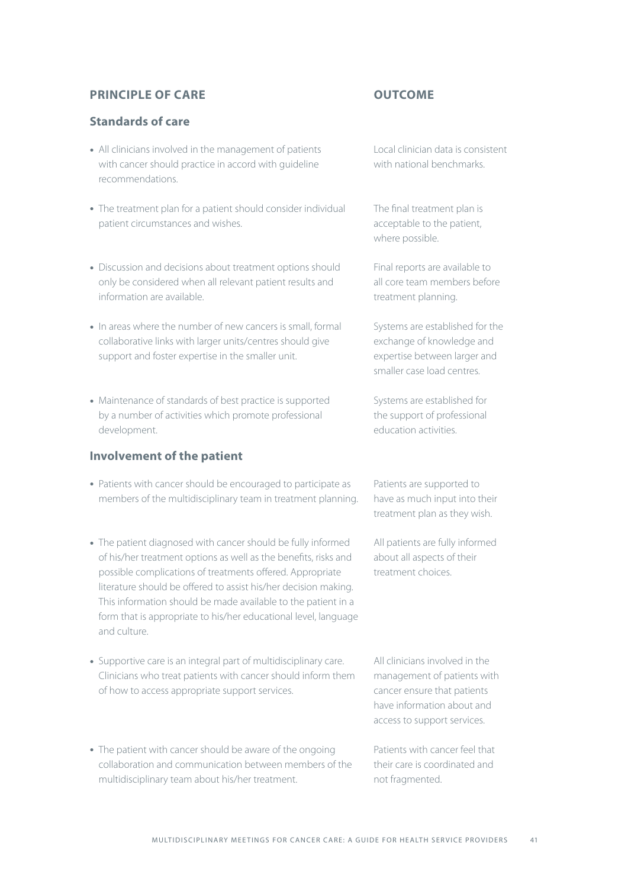#### **Principle of care**

#### **Standards of care**

- All clinicians involved in the management of patients with cancer should practice in accord with guideline recommendations.
- The treatment plan for a patient should consider individual patient circumstances and wishes.
- Discussion and decisions about treatment options should only be considered when all relevant patient results and information are available.
- In areas where the number of new cancers is small, formal collaborative links with larger units/centres should give support and foster expertise in the smaller unit.
- Maintenance of standards of best practice is supported by a number of activities which promote professional development.

#### **Involvement of the patient**

- Patients with cancer should be encouraged to participate as members of the multidisciplinary team in treatment planning.
- The patient diagnosed with cancer should be fully informed of his/her treatment options as well as the benefits, risks and possible complications of treatments offered. Appropriate literature should be offered to assist his/her decision making. This information should be made available to the patient in a form that is appropriate to his/her educational level, language and culture.
- Supportive care is an integral part of multidisciplinary care. Clinicians who treat patients with cancer should inform them of how to access appropriate support services.
- The patient with cancer should be aware of the ongoing collaboration and communication between members of the multidisciplinary team about his/her treatment.

#### **Outcome**

Local clinician data is consistent with national benchmarks.

The final treatment plan is acceptable to the patient, where possible.

Final reports are available to all core team members before treatment planning.

Systems are established for the exchange of knowledge and expertise between larger and smaller case load centres.

Systems are established for the support of professional education activities.

Patients are supported to have as much input into their treatment plan as they wish.

All patients are fully informed about all aspects of their treatment choices.

All clinicians involved in the management of patients with cancer ensure that patients have information about and access to support services.

Patients with cancer feel that their care is coordinated and not fragmented.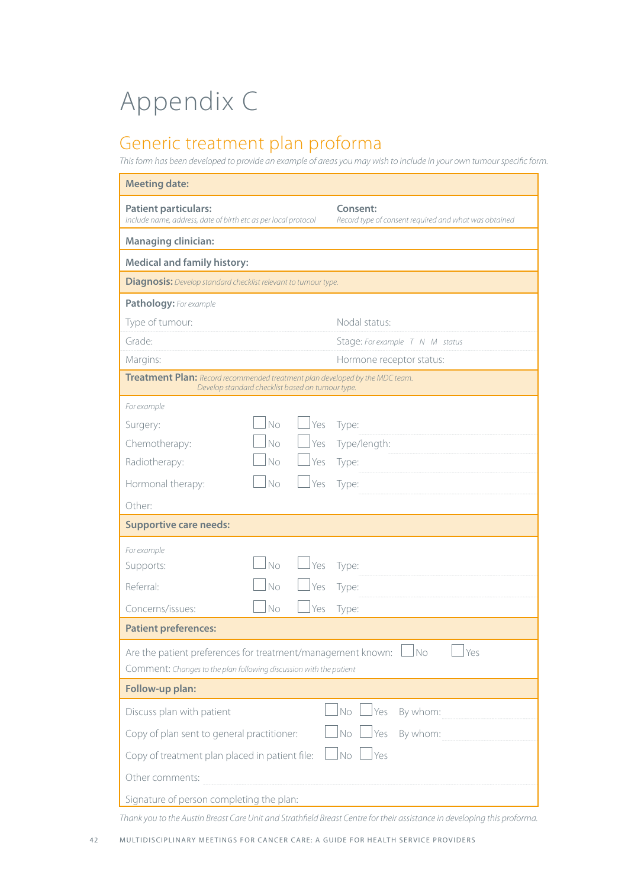## Appendix C

## Generic treatment plan proforma

*This form has been developed to provide an example of areas you may wish to include in your own tumour specific form.*

| <b>Meeting date:</b>                                                                                                                                                       |                                                                   |  |
|----------------------------------------------------------------------------------------------------------------------------------------------------------------------------|-------------------------------------------------------------------|--|
| <b>Patient particulars:</b><br>Include name, address, date of birth etc as per local protocol                                                                              | Consent:<br>Record type of consent required and what was obtained |  |
| <b>Managing clinician:</b>                                                                                                                                                 |                                                                   |  |
| <b>Medical and family history:</b>                                                                                                                                         |                                                                   |  |
| <b>Diagnosis:</b> Develop standard checklist relevant to tumour type.                                                                                                      |                                                                   |  |
| Pathology: For example                                                                                                                                                     |                                                                   |  |
| Type of tumour:                                                                                                                                                            | Nodal status:                                                     |  |
| Grade:                                                                                                                                                                     | Stage: For example T N M status                                   |  |
| Margins:                                                                                                                                                                   | Hormone receptor status:                                          |  |
| Treatment Plan: Record recommended treatment plan developed by the MDC team.<br>Develop standard checklist based on tumour type.                                           |                                                                   |  |
| For example                                                                                                                                                                |                                                                   |  |
| <b>No</b><br>Yes<br>Surgery:                                                                                                                                               | Type:                                                             |  |
| No<br><u>I</u> Yes<br>Chemotherapy:                                                                                                                                        | Type/length:                                                      |  |
| No<br>Yes<br>Radiotherapy:                                                                                                                                                 | Type:                                                             |  |
| No<br>Hormonal therapy:<br>Yes                                                                                                                                             | Type:                                                             |  |
| Other:                                                                                                                                                                     |                                                                   |  |
| <b>Supportive care needs:</b>                                                                                                                                              |                                                                   |  |
| For example                                                                                                                                                                |                                                                   |  |
| No<br> Yes<br>Supports:                                                                                                                                                    | Type:                                                             |  |
| Referral:<br>No<br>Yes                                                                                                                                                     | Type:                                                             |  |
| No<br>Concerns/issues:<br>Yes                                                                                                                                              | Type:                                                             |  |
| <b>Patient preferences:</b>                                                                                                                                                |                                                                   |  |
| $\mathbb{I}_{\mathsf{Yes}}$<br>Are the patient preferences for treatment/management known: $\Box$ No<br>Comment: Changes to the plan following discussion with the patient |                                                                   |  |
| Follow-up plan:                                                                                                                                                            |                                                                   |  |
| Discuss plan with patient                                                                                                                                                  | <u>I</u> Yes<br>By whom:<br>No                                    |  |
| By whom:<br>Copy of plan sent to general practitioner:<br>Yes<br><b>No</b>                                                                                                 |                                                                   |  |
| No<br>Yes<br>Copy of treatment plan placed in patient file:                                                                                                                |                                                                   |  |
| Other comments:                                                                                                                                                            |                                                                   |  |
| Signature of person completing the plan:                                                                                                                                   |                                                                   |  |

*Thank you to the Austin Breast Care Unit and Strathfield Breast Centre for their assistance in developing this proforma.*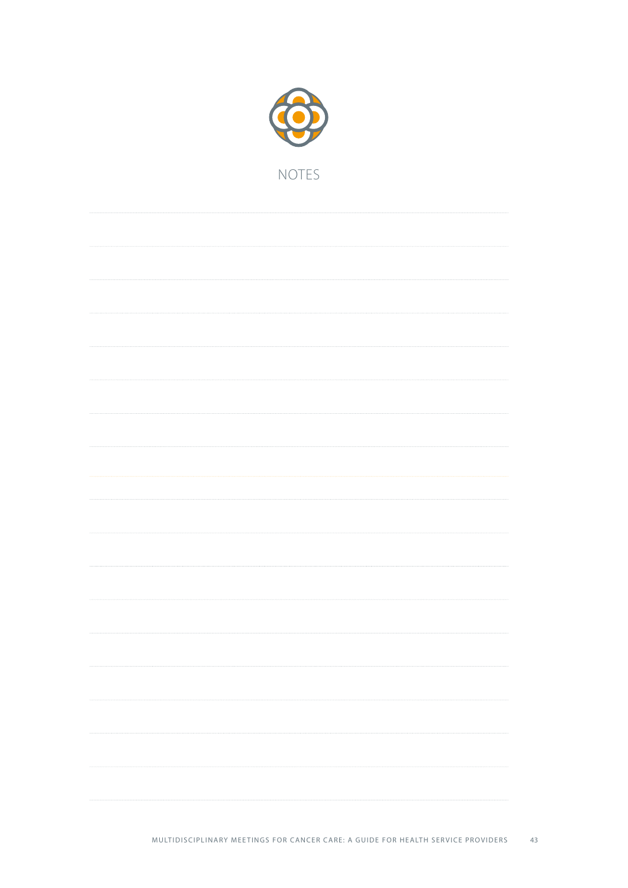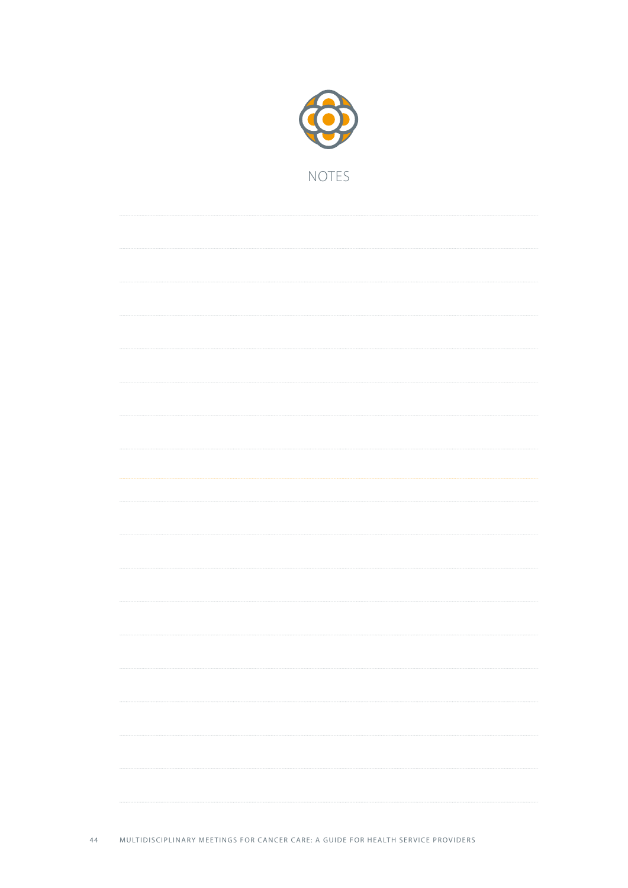

. . . . . .